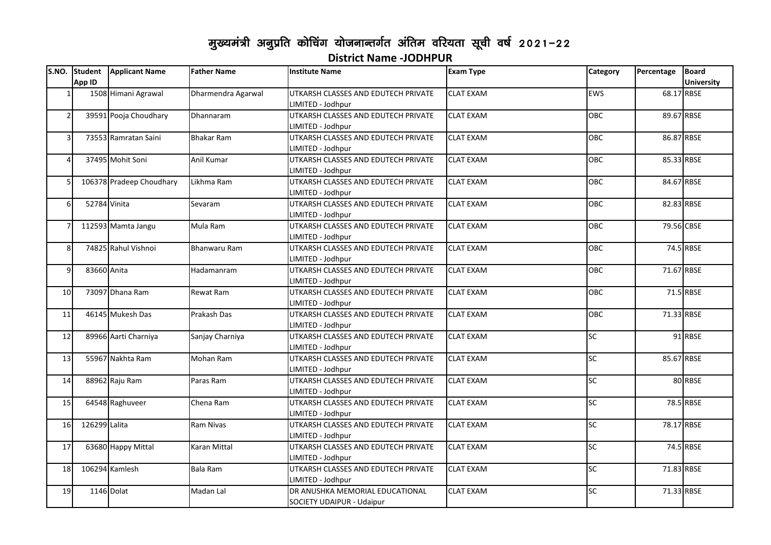## मुख्यमंत्री अनुप्रति कोचिंग योजनान्तर्गत अंतिम वरियता सूची वर्ष 2021-22 **District Name -JODHPUR**

|                |               | S.NO. Student Applicant Name | <b>Father Name</b>  | <b>Institute Name</b>               | <b>Exam Type</b> | <b>Category</b> | Percentage | <b>Board</b>      |
|----------------|---------------|------------------------------|---------------------|-------------------------------------|------------------|-----------------|------------|-------------------|
|                | App ID        |                              |                     |                                     |                  |                 |            | <b>University</b> |
| $\mathbf{1}$   |               | 1508 Himani Agrawal          | Dharmendra Agarwal  | UTKARSH CLASSES AND EDUTECH PRIVATE | <b>CLAT EXAM</b> | <b>EWS</b>      |            | 68.17 RBSE        |
|                |               |                              |                     | LIMITED - Jodhpur                   |                  |                 |            |                   |
| $\overline{2}$ |               | 39591 Pooja Choudhary        | Dhannaram           | UTKARSH CLASSES AND EDUTECH PRIVATE | <b>CLAT EXAM</b> | OBC             |            | 89.67 RBSE        |
|                |               |                              |                     | LIMITED - Jodhpur                   |                  |                 |            |                   |
| $\overline{3}$ |               | 73553 Ramratan Saini         | <b>Bhakar Ram</b>   | UTKARSH CLASSES AND EDUTECH PRIVATE | <b>CLAT EXAM</b> | <b>OBC</b>      |            | 86.87 RBSE        |
|                |               |                              |                     | LIMITED - Jodhpur                   |                  |                 |            |                   |
| $\overline{4}$ |               | 37495 Mohit Soni             | Anil Kumar          | UTKARSH CLASSES AND EDUTECH PRIVATE | <b>CLAT EXAM</b> | <b>OBC</b>      |            | 85.33 RBSE        |
|                |               |                              |                     | LIMITED - Jodhpur                   |                  |                 |            |                   |
| 5              |               | 106378 Pradeep Choudhary     | Likhma Ram          | UTKARSH CLASSES AND EDUTECH PRIVATE | <b>CLAT EXAM</b> | OBC             |            | 84.67 RBSE        |
|                |               |                              |                     | LIMITED - Jodhpur                   |                  |                 |            |                   |
| 6              | 52784 Vinita  |                              | Sevaram             | UTKARSH CLASSES AND EDUTECH PRIVATE | <b>CLAT EXAM</b> | OBC             |            | 82.83 RBSE        |
|                |               |                              |                     | LIMITED - Jodhpur                   |                  |                 |            |                   |
| $\overline{7}$ |               | 112593 Mamta Jangu           | Mula Ram            | UTKARSH CLASSES AND EDUTECH PRIVATE | <b>CLAT EXAM</b> | OBC             |            | 79.56 CBSE        |
|                |               |                              |                     | LIMITED - Jodhpur                   |                  |                 |            |                   |
| 8              |               | 74825 Rahul Vishnoi          | <b>Bhanwaru Ram</b> | UTKARSH CLASSES AND EDUTECH PRIVATE | <b>CLAT EXAM</b> | <b>OBC</b>      |            | 74.5 RBSE         |
|                |               |                              |                     | LIMITED - Jodhpur                   |                  |                 |            |                   |
| 9              | 83660 Anita   |                              | Hadamanram          | UTKARSH CLASSES AND EDUTECH PRIVATE | <b>CLAT EXAM</b> | <b>OBC</b>      |            | 71.67 RBSE        |
|                |               |                              |                     | LIMITED - Jodhpur                   |                  |                 |            |                   |
| 10             |               | 73097 Dhana Ram              | Rewat Ram           | UTKARSH CLASSES AND EDUTECH PRIVATE | <b>CLAT EXAM</b> | <b>OBC</b>      |            | 71.5 RBSE         |
|                |               |                              |                     | LIMITED - Jodhpur                   |                  |                 |            |                   |
| 11             |               | 46145 Mukesh Das             | Prakash Das         | UTKARSH CLASSES AND EDUTECH PRIVATE | <b>CLAT EXAM</b> | <b>OBC</b>      |            | 71.33 RBSE        |
|                |               |                              |                     | LIMITED - Jodhpur                   |                  |                 |            |                   |
| 12             |               | 89966 Aarti Charniya         | Sanjay Charniya     | UTKARSH CLASSES AND EDUTECH PRIVATE | <b>CLAT EXAM</b> | $\overline{SC}$ |            | 91 RBSE           |
|                |               |                              |                     | LIMITED - Jodhpur                   |                  |                 |            |                   |
| 13             |               | 55967 Nakhta Ram             | Mohan Ram           | UTKARSH CLASSES AND EDUTECH PRIVATE | <b>CLAT EXAM</b> | SC              |            | 85.67 RBSE        |
|                |               |                              |                     | LIMITED - Jodhpur                   |                  |                 |            |                   |
| 14             |               | 88962 Raju Ram               | Paras Ram           | UTKARSH CLASSES AND EDUTECH PRIVATE | <b>CLAT EXAM</b> | SC              |            | 80 RBSE           |
|                |               |                              |                     | LIMITED - Jodhpur                   |                  |                 |            |                   |
| 15             |               | 64548 Raghuveer              | Chena Ram           | UTKARSH CLASSES AND EDUTECH PRIVATE | <b>CLAT EXAM</b> | SC              |            | 78.5 RBSE         |
|                |               |                              |                     | LIMITED - Jodhpur                   |                  |                 |            |                   |
| 16             | 126299 Lalita |                              | Ram Nivas           | UTKARSH CLASSES AND EDUTECH PRIVATE | <b>CLAT EXAM</b> | $\overline{SC}$ |            | 78.17 RBSE        |
|                |               |                              |                     | LIMITED - Jodhpur                   |                  |                 |            |                   |
| 17             |               | 63680 Happy Mittal           | <b>Karan Mittal</b> | UTKARSH CLASSES AND EDUTECH PRIVATE | <b>CLAT EXAM</b> | SC              |            | 74.5 RBSE         |
|                |               |                              |                     | LIMITED - Jodhpur                   |                  |                 |            |                   |
| 18             |               | 106294 Kamlesh               | Bala Ram            | UTKARSH CLASSES AND EDUTECH PRIVATE | <b>CLAT EXAM</b> | SC              |            | 71.83 RBSE        |
|                |               |                              |                     | LIMITED - Jodhpur                   |                  |                 |            |                   |
| 19             |               | 1146 Dolat                   | Madan Lal           | DR ANUSHKA MEMORIAL EDUCATIONAL     | <b>CLAT EXAM</b> | SC              | 71.33 RBSE |                   |
|                |               |                              |                     | SOCIETY UDAIPUR - Udaipur           |                  |                 |            |                   |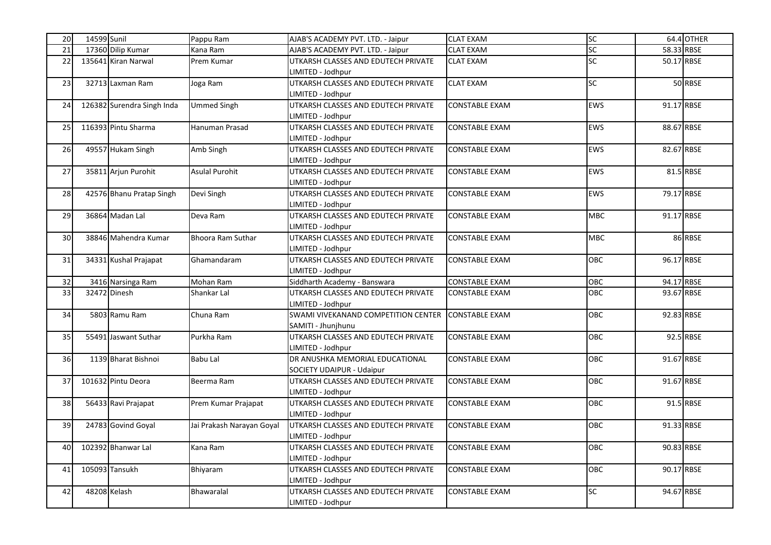| 20              | 14599 Sunil |                            | Pappu Ram                 | AJAB'S ACADEMY PVT. LTD. - Jaipur   | <b>CLAT EXAM</b>      | SC <sub>1</sub>          |            | 64.4 OTHER |
|-----------------|-------------|----------------------------|---------------------------|-------------------------------------|-----------------------|--------------------------|------------|------------|
| $\overline{21}$ |             | 17360 Dilip Kumar          | Kana Ram                  | AJAB'S ACADEMY PVT. LTD. - Jaipur   | <b>CLAT EXAM</b>      | $\overline{\mathsf{SC}}$ | 58.33 RBSE |            |
| 22              |             | 135641 Kiran Narwal        | Prem Kumar                | UTKARSH CLASSES AND EDUTECH PRIVATE | <b>CLAT EXAM</b>      | SC                       | 50.17 RBSE |            |
|                 |             |                            |                           | LIMITED - Jodhpur                   |                       |                          |            |            |
| 23              |             | 32713 Laxman Ram           | Joga Ram                  | UTKARSH CLASSES AND EDUTECH PRIVATE | <b>CLAT EXAM</b>      | <b>SC</b>                |            | 50 RBSE    |
|                 |             |                            |                           | LIMITED - Jodhpur                   |                       |                          |            |            |
| 24              |             | 126382 Surendra Singh Inda | <b>Ummed Singh</b>        | UTKARSH CLASSES AND EDUTECH PRIVATE | CONSTABLE EXAM        | EWS                      | 91.17 RBSE |            |
|                 |             |                            |                           | LIMITED - Jodhpur                   |                       |                          |            |            |
| 25              |             | 116393 Pintu Sharma        | Hanuman Prasad            | UTKARSH CLASSES AND EDUTECH PRIVATE | CONSTABLE EXAM        | <b>EWS</b>               | 88.67 RBSE |            |
|                 |             |                            |                           | LIMITED - Jodhpur                   |                       |                          |            |            |
| 26              |             | 49557 Hukam Singh          | Amb Singh                 | UTKARSH CLASSES AND EDUTECH PRIVATE | CONSTABLE EXAM        | <b>EWS</b>               | 82.67 RBSE |            |
|                 |             |                            |                           | LIMITED - Jodhpur                   |                       |                          |            |            |
| 27              |             | 35811 Arjun Purohit        | <b>Asulal Purohit</b>     | UTKARSH CLASSES AND EDUTECH PRIVATE | <b>CONSTABLE EXAM</b> | EWS                      |            | 81.5 RBSE  |
|                 |             |                            |                           | LIMITED - Jodhpur                   |                       |                          |            |            |
| 28              |             | 42576 Bhanu Pratap Singh   | Devi Singh                | UTKARSH CLASSES AND EDUTECH PRIVATE | <b>CONSTABLE EXAM</b> | <b>EWS</b>               | 79.17 RBSE |            |
|                 |             |                            |                           | LIMITED - Jodhpur                   |                       |                          |            |            |
| 29              |             | 36864 Madan Lal            | Deva Ram                  | UTKARSH CLASSES AND EDUTECH PRIVATE | <b>CONSTABLE EXAM</b> | <b>MBC</b>               | 91.17 RBSE |            |
|                 |             |                            |                           | LIMITED - Jodhpur                   |                       |                          |            |            |
| 30              |             | 38846 Mahendra Kumar       | <b>Bhoora Ram Suthar</b>  | UTKARSH CLASSES AND EDUTECH PRIVATE | CONSTABLE EXAM        | <b>MBC</b>               |            | 86 RBSE    |
|                 |             |                            |                           | LIMITED - Jodhpur                   |                       |                          |            |            |
| 31              |             | 34331 Kushal Prajapat      | Ghamandaram               | UTKARSH CLASSES AND EDUTECH PRIVATE | <b>CONSTABLE EXAM</b> | OBC                      | 96.17 RBSE |            |
|                 |             |                            |                           | LIMITED - Jodhpur                   |                       |                          |            |            |
| 32              |             | 3416 Narsinga Ram          | Mohan Ram                 | Siddharth Academy - Banswara        | <b>CONSTABLE EXAM</b> | OBC                      | 94.17 RBSE |            |
| 33              |             | 32472 Dinesh               | Shankar Lal               | UTKARSH CLASSES AND EDUTECH PRIVATE | <b>CONSTABLE EXAM</b> | OBC                      | 93.67 RBSE |            |
|                 |             |                            |                           | LIMITED - Jodhpur                   |                       |                          |            |            |
| 34              |             | 5803 Ramu Ram              | Chuna Ram                 | SWAMI VIVEKANAND COMPETITION CENTER | <b>CONSTABLE EXAM</b> | OBC                      | 92.83 RBSE |            |
|                 |             |                            |                           | SAMITI - Jhunjhunu                  |                       |                          |            |            |
| 35              |             | 55491 Jaswant Suthar       | Purkha Ram                | UTKARSH CLASSES AND EDUTECH PRIVATE | <b>CONSTABLE EXAM</b> | <b>OBC</b>               |            | 92.5 RBSE  |
|                 |             |                            |                           | LIMITED - Jodhpur                   |                       |                          |            |            |
| 36              |             | 1139 Bharat Bishnoi        | Babu Lal                  | DR ANUSHKA MEMORIAL EDUCATIONAL     | CONSTABLE EXAM        | OBC                      | 91.67 RBSE |            |
|                 |             |                            |                           | SOCIETY UDAIPUR - Udaipur           |                       |                          |            |            |
| 37              |             | 101632 Pintu Deora         | Beerma Ram                | UTKARSH CLASSES AND EDUTECH PRIVATE | <b>CONSTABLE EXAM</b> | OBC                      | 91.67 RBSE |            |
|                 |             |                            |                           | LIMITED - Jodhpur                   |                       |                          |            |            |
| 38              |             | 56433 Ravi Prajapat        | Prem Kumar Prajapat       | UTKARSH CLASSES AND EDUTECH PRIVATE | <b>CONSTABLE EXAM</b> | OBC                      |            | 91.5 RBSE  |
|                 |             |                            |                           | LIMITED - Jodhpur                   |                       |                          |            |            |
| 39              |             | 24783 Govind Goyal         | Jai Prakash Narayan Goyal | UTKARSH CLASSES AND EDUTECH PRIVATE | <b>CONSTABLE EXAM</b> | <b>OBC</b>               | 91.33 RBSE |            |
|                 |             |                            |                           | LIMITED - Jodhpur                   |                       |                          |            |            |
| 40              |             | 102392 Bhanwar Lal         | Kana Ram                  | UTKARSH CLASSES AND EDUTECH PRIVATE | <b>CONSTABLE EXAM</b> | OBC                      | 90.83 RBSE |            |
|                 |             |                            |                           | IMITED - Jodhpur                    |                       |                          |            |            |
| 41              |             | 105093 Tansukh             | Bhiyaram                  | UTKARSH CLASSES AND EDUTECH PRIVATE | <b>CONSTABLE EXAM</b> | OBC                      | 90.17 RBSE |            |
|                 |             |                            |                           | LIMITED - Jodhpur                   |                       |                          |            |            |
| 42              |             | 48208 Kelash               | Bhawaralal                | UTKARSH CLASSES AND EDUTECH PRIVATE | <b>CONSTABLE EXAM</b> | <b>SC</b>                | 94.67 RBSE |            |
|                 |             |                            |                           | LIMITED - Jodhpur                   |                       |                          |            |            |
|                 |             |                            |                           |                                     |                       |                          |            |            |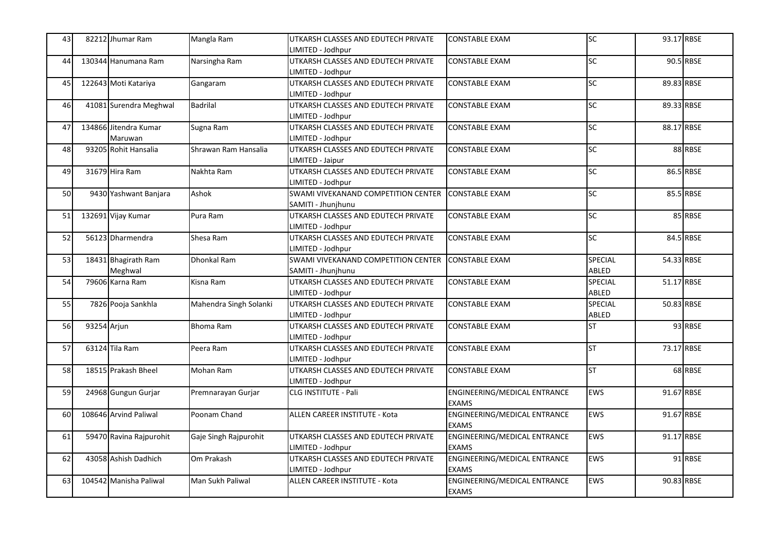| 43 |             | 82212 Jhumar Ram        | Mangla Ram             | UTKARSH CLASSES AND EDUTECH PRIVATE<br>IMITED - Jodhpur | <b>CONSTABLE EXAM</b>        | <b>SC</b>       | 93.17 RBSE |           |
|----|-------------|-------------------------|------------------------|---------------------------------------------------------|------------------------------|-----------------|------------|-----------|
|    |             | 130344 Hanumana Ram     | Narsingha Ram          | UTKARSH CLASSES AND EDUTECH PRIVATE                     | <b>CONSTABLE EXAM</b>        | SC              |            | 90.5 RBSE |
| 44 |             |                         |                        | LIMITED - Jodhpur                                       |                              |                 |            |           |
| 45 |             | 122643 Moti Katariya    | Gangaram               | UTKARSH CLASSES AND EDUTECH PRIVATE                     | <b>CONSTABLE EXAM</b>        | $\overline{SC}$ | 89.83 RBSE |           |
|    |             |                         |                        | LIMITED - Jodhpur                                       |                              |                 |            |           |
| 46 |             | 41081 Surendra Meghwal  | <b>Badrilal</b>        | UTKARSH CLASSES AND EDUTECH PRIVATE                     | <b>CONSTABLE EXAM</b>        | SC              | 89.33 RBSE |           |
|    |             |                         |                        | LIMITED - Jodhpur                                       |                              |                 |            |           |
| 47 |             | 134866 Jitendra Kumar   | Sugna Ram              | UTKARSH CLASSES AND EDUTECH PRIVATE                     | <b>CONSTABLE EXAM</b>        | <b>SC</b>       | 88.17 RBSE |           |
|    |             | Maruwan                 |                        | LIMITED - Jodhpur                                       |                              |                 |            |           |
| 48 |             | 93205 Rohit Hansalia    | Shrawan Ram Hansalia   | UTKARSH CLASSES AND EDUTECH PRIVATE                     | <b>CONSTABLE EXAM</b>        | <b>SC</b>       |            | 88 RBSE   |
|    |             |                         |                        | LIMITED - Jaipur                                        |                              |                 |            |           |
| 49 |             | 31679 Hira Ram          | Nakhta Ram             | UTKARSH CLASSES AND EDUTECH PRIVATE                     | <b>CONSTABLE EXAM</b>        | $\overline{SC}$ |            | 86.5 RBSE |
|    |             |                         |                        | LIMITED - Jodhpur                                       |                              |                 |            |           |
| 50 |             | 9430 Yashwant Banjara   | Ashok                  | SWAMI VIVEKANAND COMPETITION CENTER                     | <b>CONSTABLE EXAM</b>        | <b>SC</b>       |            | 85.5 RBSE |
|    |             |                         |                        | SAMITI - Jhunjhunu                                      |                              |                 |            |           |
| 51 |             | 132691 Vijay Kumar      | Pura Ram               | UTKARSH CLASSES AND EDUTECH PRIVATE                     | <b>CONSTABLE EXAM</b>        | <b>SC</b>       |            | 85 RBSE   |
|    |             |                         |                        | LIMITED - Jodhpur                                       |                              |                 |            |           |
| 52 |             | 56123 Dharmendra        | Shesa Ram              | UTKARSH CLASSES AND EDUTECH PRIVATE                     | CONSTABLE EXAM               | $\overline{SC}$ |            | 84.5 RBSE |
|    |             |                         |                        | LIMITED - Jodhpur                                       |                              |                 |            |           |
| 53 |             | 18431 Bhagirath Ram     | Dhonkal Ram            | SWAMI VIVEKANAND COMPETITION CENTER                     | <b>CONSTABLE EXAM</b>        | SPECIAL         | 54.33 RBSE |           |
|    |             | Meghwal                 |                        | SAMITI - Jhunjhunu                                      |                              | <b>ABLED</b>    |            |           |
| 54 |             | 79606 Karna Ram         | Kisna Ram              | UTKARSH CLASSES AND EDUTECH PRIVATE                     | <b>CONSTABLE EXAM</b>        | SPECIAL         | 51.17 RBSE |           |
|    |             |                         |                        | LIMITED - Jodhpur                                       |                              | ABLED           |            |           |
| 55 |             | 7826 Pooja Sankhla      | Mahendra Singh Solanki | UTKARSH CLASSES AND EDUTECH PRIVATE                     | <b>CONSTABLE EXAM</b>        | SPECIAL         | 50.83 RBSE |           |
|    |             |                         |                        | LIMITED - Jodhpur                                       |                              | ABLED           |            |           |
| 56 | 93254 Arjun |                         | <b>Bhoma Ram</b>       | UTKARSH CLASSES AND EDUTECH PRIVATE                     | <b>CONSTABLE EXAM</b>        | <b>ST</b>       |            | 93 RBSE   |
|    |             |                         |                        | LIMITED - Jodhpur                                       |                              |                 |            |           |
| 57 |             | 63124 Tila Ram          | Peera Ram              | UTKARSH CLASSES AND EDUTECH PRIVATE                     | <b>CONSTABLE EXAM</b>        | ST              | 73.17 RBSE |           |
|    |             |                         |                        | LIMITED - Jodhpur                                       |                              |                 |            |           |
| 58 |             | 18515 Prakash Bheel     | Mohan Ram              | UTKARSH CLASSES AND EDUTECH PRIVATE                     | <b>CONSTABLE EXAM</b>        | <b>ST</b>       |            | 68 RBSE   |
|    |             |                         |                        | LIMITED - Jodhpur                                       |                              |                 |            |           |
| 59 |             | 24968 Gungun Gurjar     | Premnarayan Gurjar     | CLG INSTITUTE - Pali                                    | ENGINEERING/MEDICAL ENTRANCE | <b>EWS</b>      | 91.67 RBSE |           |
|    |             |                         |                        |                                                         | <b>EXAMS</b>                 |                 |            |           |
| 60 |             | 108646 Arvind Paliwal   | Poonam Chand           | ALLEN CAREER INSTITUTE - Kota                           | ENGINEERING/MEDICAL ENTRANCE | <b>EWS</b>      | 91.67 RBSE |           |
|    |             |                         |                        |                                                         | <b>EXAMS</b>                 |                 |            |           |
| 61 |             | 59470 Ravina Rajpurohit | Gaje Singh Rajpurohit  | UTKARSH CLASSES AND EDUTECH PRIVATE                     | ENGINEERING/MEDICAL ENTRANCE | <b>EWS</b>      | 91.17 RBSE |           |
|    |             |                         |                        | IMITED - Jodhpur                                        | <b>EXAMS</b>                 |                 |            |           |
| 62 |             | 43058 Ashish Dadhich    | Om Prakash             | UTKARSH CLASSES AND EDUTECH PRIVATE                     | ENGINEERING/MEDICAL ENTRANCE | <b>EWS</b>      |            | 91 RBSE   |
|    |             |                         |                        | LIMITED - Jodhpur                                       | <b>EXAMS</b>                 |                 |            |           |
| 63 |             | 104542 Manisha Paliwal  | Man Sukh Paliwal       | ALLEN CAREER INSTITUTE - Kota                           | ENGINEERING/MEDICAL ENTRANCE | <b>EWS</b>      | 90.83 RBSE |           |
|    |             |                         |                        |                                                         | <b>EXAMS</b>                 |                 |            |           |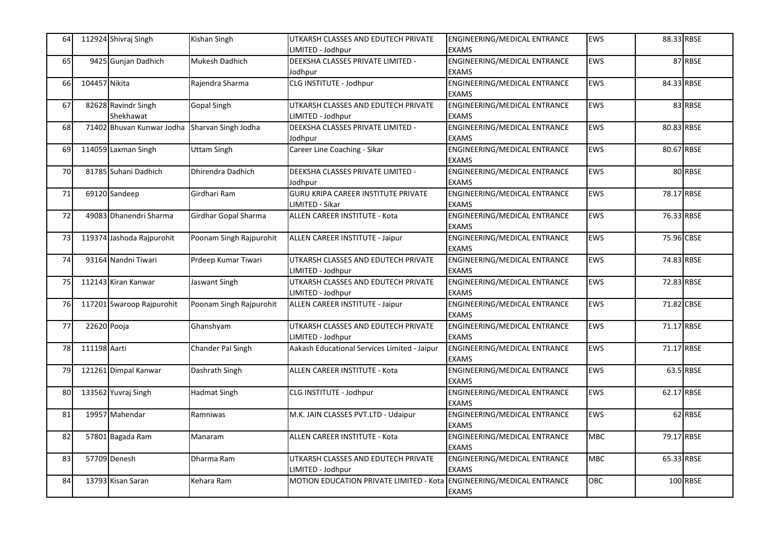| 64 |               | 112924 Shivraj Singh             | Kishan Singh            | UTKARSH CLASSES AND EDUTECH PRIVATE<br>IMITED - Jodhpur       | ENGINEERING/MEDICAL ENTRANCE<br><b>EXAMS</b> | <b>EWS</b> | 88.33 RBSE |           |
|----|---------------|----------------------------------|-------------------------|---------------------------------------------------------------|----------------------------------------------|------------|------------|-----------|
| 65 |               | 9425 Gunjan Dadhich              | Mukesh Dadhich          | DEEKSHA CLASSES PRIVATE LIMITED -<br>Jodhpur                  | ENGINEERING/MEDICAL ENTRANCE<br><b>EXAMS</b> | <b>EWS</b> |            | 87 RBSE   |
| 66 | 104457 Nikita |                                  | Rajendra Sharma         | CLG INSTITUTE - Jodhpur                                       | ENGINEERING/MEDICAL ENTRANCE<br><b>EXAMS</b> | <b>EWS</b> | 84.33 RBSE |           |
| 67 |               | 82628 Ravindr Singh<br>Shekhawat | <b>Gopal Singh</b>      | UTKARSH CLASSES AND EDUTECH PRIVATE<br>LIMITED - Jodhpur      | ENGINEERING/MEDICAL ENTRANCE<br><b>EXAMS</b> | <b>EWS</b> |            | 83 RBSE   |
| 68 |               | 71402 Bhuvan Kunwar Jodha        | Sharvan Singh Jodha     | DEEKSHA CLASSES PRIVATE LIMITED -<br>Jodhpur                  | ENGINEERING/MEDICAL ENTRANCE<br><b>EXAMS</b> | <b>EWS</b> | 80.83 RBSE |           |
| 69 |               | 114059 Laxman Singh              | Uttam Singh             | Career Line Coaching - Sikar                                  | ENGINEERING/MEDICAL ENTRANCE<br><b>EXAMS</b> | <b>EWS</b> | 80.67 RBSE |           |
| 70 |               | 81785 Suhani Dadhich             | Dhirendra Dadhich       | DEEKSHA CLASSES PRIVATE LIMITED -<br>Jodhpur                  | ENGINEERING/MEDICAL ENTRANCE<br><b>EXAMS</b> | <b>EWS</b> |            | 80 RBSE   |
| 71 |               | 69120 Sandeep                    | Girdhari Ram            | <b>GURU KRIPA CAREER INSTITUTE PRIVATE</b><br>LIMITED - Sikar | ENGINEERING/MEDICAL ENTRANCE<br><b>EXAMS</b> | <b>EWS</b> | 78.17 RBSE |           |
| 72 |               | 49083 Dhanendri Sharma           | Girdhar Gopal Sharma    | ALLEN CAREER INSTITUTE - Kota                                 | ENGINEERING/MEDICAL ENTRANCE<br><b>EXAMS</b> | EWS        | 76.33 RBSE |           |
| 73 |               | 119374 Jashoda Rajpurohit        | Poonam Singh Rajpurohit | ALLEN CAREER INSTITUTE - Jaipur                               | ENGINEERING/MEDICAL ENTRANCE<br><b>EXAMS</b> | <b>EWS</b> | 75.96 CBSE |           |
| 74 |               | 93164 Nandni Tiwari              | Prdeep Kumar Tiwari     | UTKARSH CLASSES AND EDUTECH PRIVATE<br>LIMITED - Jodhpur      | ENGINEERING/MEDICAL ENTRANCE<br><b>EXAMS</b> | <b>EWS</b> | 74.83 RBSE |           |
| 75 |               | 112143 Kiran Kanwar              | Jaswant Singh           | UTKARSH CLASSES AND EDUTECH PRIVATE<br>LIMITED - Jodhpur      | ENGINEERING/MEDICAL ENTRANCE<br><b>EXAMS</b> | <b>EWS</b> | 72.83 RBSE |           |
| 76 |               | 117201 Swaroop Rajpurohit        | Poonam Singh Rajpurohit | ALLEN CAREER INSTITUTE - Jaipur                               | ENGINEERING/MEDICAL ENTRANCE<br><b>EXAMS</b> | EWS        | 71.82 CBSE |           |
| 77 | 22620 Pooja   |                                  | Ghanshyam               | UTKARSH CLASSES AND EDUTECH PRIVATE<br>IMITED - Jodhpur       | ENGINEERING/MEDICAL ENTRANCE<br><b>EXAMS</b> | EWS        | 71.17 RBSE |           |
| 78 | 111198 Aarti  |                                  | Chander Pal Singh       | Aakash Educational Services Limited - Jaipur                  | ENGINEERING/MEDICAL ENTRANCE<br><b>EXAMS</b> | <b>EWS</b> | 71.17 RBSE |           |
| 79 |               | 121261 Dimpal Kanwar             | Dashrath Singh          | ALLEN CAREER INSTITUTE - Kota                                 | ENGINEERING/MEDICAL ENTRANCE<br><b>EXAMS</b> | <b>EWS</b> |            | 63.5 RBSE |
| 80 |               | 133562 Yuvraj Singh              | Hadmat Singh            | CLG INSTITUTE - Jodhpur                                       | ENGINEERING/MEDICAL ENTRANCE<br><b>EXAMS</b> | <b>EWS</b> | 62.17 RBSE |           |
| 81 |               | 19957 Mahendar                   | Ramniwas                | M.K. JAIN CLASSES PVT.LTD - Udaipur                           | ENGINEERING/MEDICAL ENTRANCE<br><b>EXAMS</b> | <b>EWS</b> |            | 62 RBSE   |
| 82 |               | 57801 Bagada Ram                 | Manaram                 | ALLEN CAREER INSTITUTE - Kota                                 | ENGINEERING/MEDICAL ENTRANCE<br><b>EXAMS</b> | <b>MBC</b> | 79.17 RBSE |           |
| 83 |               | 57709 Denesh                     | Dharma Ram              | UTKARSH CLASSES AND EDUTECH PRIVATE<br>LIMITED - Jodhpur      | ENGINEERING/MEDICAL ENTRANCE<br><b>EXAMS</b> | <b>MBC</b> | 65.33 RBSE |           |
| 84 |               | 13793 Kisan Saran                | Kehara Ram              | MOTION EDUCATION PRIVATE LIMITED - Kota                       | ENGINEERING/MEDICAL ENTRANCE<br><b>EXAMS</b> | OBC        |            | 100 RBSE  |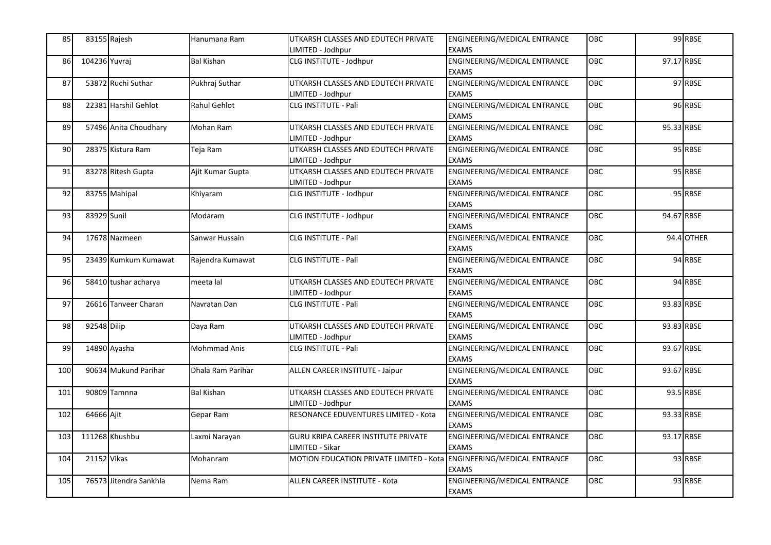| 85  |               | 83155 Rajesh           | Hanumana Ram      | UTKARSH CLASSES AND EDUTECH PRIVATE     | ENGINEERING/MEDICAL ENTRANCE                 | <b>OBC</b> |            | 99 RBSE    |
|-----|---------------|------------------------|-------------------|-----------------------------------------|----------------------------------------------|------------|------------|------------|
|     |               |                        |                   | IMITED - Jodhpur                        | <b>EXAMS</b>                                 |            |            |            |
| 86  | 104236 Yuvraj |                        | <b>Bal Kishan</b> | CLG INSTITUTE - Jodhpur                 | ENGINEERING/MEDICAL ENTRANCE<br><b>EXAMS</b> | OBC        | 97.17 RBSE |            |
| 87  |               | 53872 Ruchi Suthar     | Pukhraj Suthar    | UTKARSH CLASSES AND EDUTECH PRIVATE     | ENGINEERING/MEDICAL ENTRANCE                 | <b>OBC</b> |            | 97 RBSE    |
|     |               |                        |                   | LIMITED - Jodhpur                       | <b>EXAMS</b>                                 |            |            |            |
| 88  |               | 22381 Harshil Gehlot   | Rahul Gehlot      | <b>CLG INSTITUTE - Pali</b>             | ENGINEERING/MEDICAL ENTRANCE                 | OBC        |            | 96 RBSE    |
|     |               |                        |                   |                                         | <b>EXAMS</b>                                 |            |            |            |
| 89  |               | 57496 Anita Choudhary  | Mohan Ram         | UTKARSH CLASSES AND EDUTECH PRIVATE     | ENGINEERING/MEDICAL ENTRANCE                 | OBC        | 95.33 RBSE |            |
|     |               |                        |                   | LIMITED - Jodhpur                       | <b>EXAMS</b>                                 |            |            |            |
| 90  |               | 28375 Kistura Ram      | Teja Ram          | UTKARSH CLASSES AND EDUTECH PRIVATE     | ENGINEERING/MEDICAL ENTRANCE                 | <b>OBC</b> |            | 95 RBSE    |
|     |               |                        |                   | LIMITED - Jodhpur                       | <b>EXAMS</b>                                 |            |            |            |
| 91  |               | 83278 Ritesh Gupta     | Ajit Kumar Gupta  | UTKARSH CLASSES AND EDUTECH PRIVATE     | ENGINEERING/MEDICAL ENTRANCE                 | <b>OBC</b> |            | 95 RBSE    |
|     |               |                        |                   | LIMITED - Jodhpur                       | <b>EXAMS</b>                                 |            |            |            |
| 92  |               | 83755 Mahipal          | Khiyaram          | CLG INSTITUTE - Jodhpur                 | ENGINEERING/MEDICAL ENTRANCE                 | OBC        |            | 95 RBSE    |
|     |               |                        |                   |                                         | <b>EXAMS</b>                                 |            |            |            |
| 93  | 83929 Sunil   |                        | Modaram           | CLG INSTITUTE - Jodhpur                 | ENGINEERING/MEDICAL ENTRANCE                 | <b>OBC</b> | 94.67 RBSE |            |
|     |               |                        |                   |                                         | <b>EXAMS</b>                                 |            |            |            |
| 94  |               | 17678 Nazmeen          | Sanwar Hussain    | <b>CLG INSTITUTE - Pali</b>             | ENGINEERING/MEDICAL ENTRANCE                 | OBC        |            | 94.4 OTHER |
|     |               |                        |                   |                                         | <b>EXAMS</b>                                 |            |            |            |
| 95  |               | 23439 Kumkum Kumawat   | Rajendra Kumawat  | <b>CLG INSTITUTE - Pali</b>             | ENGINEERING/MEDICAL ENTRANCE                 | <b>OBC</b> |            | 94 RBSE    |
|     |               |                        |                   |                                         | <b>EXAMS</b>                                 |            |            |            |
| 96  |               | 58410 tushar acharya   | meeta lal         | UTKARSH CLASSES AND EDUTECH PRIVATE     | ENGINEERING/MEDICAL ENTRANCE                 | <b>OBC</b> |            | 94 RBSE    |
|     |               |                        |                   | LIMITED - Jodhpur                       | <b>EXAMS</b>                                 |            |            |            |
| 97  |               | 26616 Tanveer Charan   | Navratan Dan      | <b>CLG INSTITUTE - Pali</b>             | ENGINEERING/MEDICAL ENTRANCE                 | <b>OBC</b> | 93.83 RBSE |            |
|     |               |                        |                   |                                         | <b>EXAMS</b>                                 |            |            |            |
| 98  | 92548 Dilip   |                        | Daya Ram          | UTKARSH CLASSES AND EDUTECH PRIVATE     | ENGINEERING/MEDICAL ENTRANCE                 | OBC        | 93.83 RBSE |            |
|     |               |                        |                   | LIMITED - Jodhpur                       | <b>EXAMS</b>                                 |            |            |            |
| 99  |               | 14890 Ayasha           | Mohmmad Anis      | <b>CLG INSTITUTE - Pali</b>             | ENGINEERING/MEDICAL ENTRANCE                 | <b>OBC</b> | 93.67 RBSE |            |
|     |               |                        |                   |                                         | <b>EXAMS</b>                                 |            |            |            |
| 100 |               | 90634 Mukund Parihar   | Dhala Ram Parihar | ALLEN CAREER INSTITUTE - Jaipur         | ENGINEERING/MEDICAL ENTRANCE                 | OBC        | 93.67 RBSE |            |
|     |               |                        |                   |                                         | <b>EXAMS</b>                                 |            |            |            |
| 101 |               | 90809 Tamnna           | <b>Bal Kishan</b> | UTKARSH CLASSES AND EDUTECH PRIVATE     | ENGINEERING/MEDICAL ENTRANCE                 | OBC        |            | 93.5 RBSE  |
|     |               |                        |                   | LIMITED - Jodhpur                       | <b>EXAMS</b>                                 |            |            |            |
| 102 | 64666 Ajit    |                        | Gepar Ram         | RESONANCE EDUVENTURES LIMITED - Kota    | ENGINEERING/MEDICAL ENTRANCE                 | OBC        | 93.33 RBSE |            |
|     |               |                        |                   |                                         | <b>EXAMS</b>                                 |            |            |            |
| 103 |               | 111268 Khushbu         | Laxmi Narayan     | GURU KRIPA CAREER INSTITUTE PRIVATE     | ENGINEERING/MEDICAL ENTRANCE                 | OBC        | 93.17 RBSE |            |
|     |               |                        |                   | LIMITED - Sikar                         | <b>EXAMS</b>                                 |            |            |            |
| 104 | 21152 Vikas   |                        | Mohanram          | MOTION EDUCATION PRIVATE LIMITED - Kota | <b>ENGINEERING/MEDICAL ENTRANCE</b>          | <b>OBC</b> |            | 93 RBSE    |
|     |               |                        |                   |                                         | <b>EXAMS</b>                                 |            |            |            |
| 105 |               | 76573 Jitendra Sankhla | Nema Ram          | ALLEN CAREER INSTITUTE - Kota           | ENGINEERING/MEDICAL ENTRANCE                 | OBC        |            | 93 RBSE    |
|     |               |                        |                   |                                         | <b>EXAMS</b>                                 |            |            |            |
|     |               |                        |                   |                                         |                                              |            |            |            |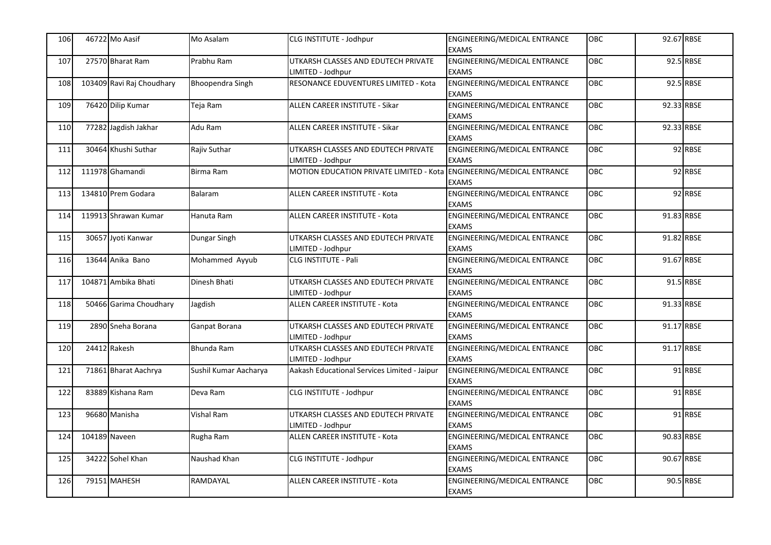| 106 |               | 46722 Mo Aasif            | Mo Asalam             | CLG INSTITUTE - Jodhpur                                  | ENGINEERING/MEDICAL ENTRANCE<br><b>EXAMS</b> | <b>OBC</b> | 92.67 RBSE |           |
|-----|---------------|---------------------------|-----------------------|----------------------------------------------------------|----------------------------------------------|------------|------------|-----------|
| 107 |               | 27570 Bharat Ram          | Prabhu Ram            | UTKARSH CLASSES AND EDUTECH PRIVATE<br>LIMITED - Jodhpur | ENGINEERING/MEDICAL ENTRANCE<br><b>EXAMS</b> | OBC        |            | 92.5 RBSE |
| 108 |               | 103409 Ravi Raj Choudhary | Bhoopendra Singh      | RESONANCE EDUVENTURES LIMITED - Kota                     | ENGINEERING/MEDICAL ENTRANCE<br><b>EXAMS</b> | OBC        |            | 92.5 RBSE |
| 109 |               | 76420 Dilip Kumar         | Teja Ram              | ALLEN CAREER INSTITUTE - Sikar                           | ENGINEERING/MEDICAL ENTRANCE<br><b>EXAMS</b> | OBC        | 92.33 RBSE |           |
| 110 |               | 77282 Jagdish Jakhar      | Adu Ram               | <b>ALLEN CAREER INSTITUTE - Sikar</b>                    | ENGINEERING/MEDICAL ENTRANCE<br><b>EXAMS</b> | <b>OBC</b> | 92.33 RBSE |           |
| 111 |               | 30464 Khushi Suthar       | Rajiv Suthar          | UTKARSH CLASSES AND EDUTECH PRIVATE<br>LIMITED - Jodhpur | ENGINEERING/MEDICAL ENTRANCE<br><b>EXAMS</b> | OBC        |            | 92 RBSE   |
| 112 |               | 111978 Ghamandi           | Birma Ram             | MOTION EDUCATION PRIVATE LIMITED - Kota                  | ENGINEERING/MEDICAL ENTRANCE<br><b>EXAMS</b> | OBC        |            | 92 RBSE   |
| 113 |               | 134810 Prem Godara        | Balaram               | ALLEN CAREER INSTITUTE - Kota                            | ENGINEERING/MEDICAL ENTRANCE<br><b>EXAMS</b> | OBC        |            | 92 RBSE   |
| 114 |               | 119913 Shrawan Kumar      | Hanuta Ram            | ALLEN CAREER INSTITUTE - Kota                            | ENGINEERING/MEDICAL ENTRANCE<br><b>EXAMS</b> | OBC        | 91.83 RBSE |           |
| 115 |               | 30657 Jyoti Kanwar        | Dungar Singh          | UTKARSH CLASSES AND EDUTECH PRIVATE<br>LIMITED - Jodhpur | ENGINEERING/MEDICAL ENTRANCE<br><b>EXAMS</b> | OBC        | 91.82 RBSE |           |
| 116 |               | 13644 Anika Bano          | Mohammed Ayyub        | <b>CLG INSTITUTE - Pali</b>                              | ENGINEERING/MEDICAL ENTRANCE<br><b>EXAMS</b> | OBC        | 91.67 RBSE |           |
| 117 |               | 104871 Ambika Bhati       | Dinesh Bhati          | UTKARSH CLASSES AND EDUTECH PRIVATE<br>LIMITED - Jodhpur | ENGINEERING/MEDICAL ENTRANCE<br><b>EXAMS</b> | <b>OBC</b> |            | 91.5 RBSE |
| 118 |               | 50466 Garima Choudhary    | Jagdish               | ALLEN CAREER INSTITUTE - Kota                            | ENGINEERING/MEDICAL ENTRANCE<br><b>EXAMS</b> | OBC        | 91.33 RBSE |           |
| 119 |               | 2890 Sneha Borana         | Ganpat Borana         | UTKARSH CLASSES AND EDUTECH PRIVATE<br>LIMITED - Jodhpur | ENGINEERING/MEDICAL ENTRANCE<br><b>EXAMS</b> | OBC        | 91.17 RBSE |           |
| 120 |               | 24412 Rakesh              | <b>Bhunda Ram</b>     | UTKARSH CLASSES AND EDUTECH PRIVATE<br>LIMITED - Jodhpur | ENGINEERING/MEDICAL ENTRANCE<br><b>EXAMS</b> | OBC        | 91.17 RBSE |           |
| 121 |               | 71861 Bharat Aachrya      | Sushil Kumar Aacharya | Aakash Educational Services Limited - Jaipur             | ENGINEERING/MEDICAL ENTRANCE<br><b>EXAMS</b> | OBC        |            | 91 RBSE   |
| 122 |               | 83889 Kishana Ram         | Deva Ram              | CLG INSTITUTE - Jodhpur                                  | ENGINEERING/MEDICAL ENTRANCE<br><b>EXAMS</b> | OBC        |            | 91 RBSE   |
| 123 |               | 96680 Manisha             | Vishal Ram            | UTKARSH CLASSES AND EDUTECH PRIVATE<br>LIMITED - Jodhpur | ENGINEERING/MEDICAL ENTRANCE<br><b>EXAMS</b> | OBC        |            | 91 RBSE   |
| 124 | 104189 Naveen |                           | Rugha Ram             | ALLEN CAREER INSTITUTE - Kota                            | ENGINEERING/MEDICAL ENTRANCE<br><b>EXAMS</b> | OBC        | 90.83 RBSE |           |
| 125 |               | 34222 Sohel Khan          | Naushad Khan          | CLG INSTITUTE - Jodhpur                                  | ENGINEERING/MEDICAL ENTRANCE<br><b>EXAMS</b> | <b>OBC</b> | 90.67 RBSE |           |
| 126 |               | 79151 MAHESH              | RAMDAYAL              | ALLEN CAREER INSTITUTE - Kota                            | ENGINEERING/MEDICAL ENTRANCE<br><b>EXAMS</b> | OBC        |            | 90.5 RBSE |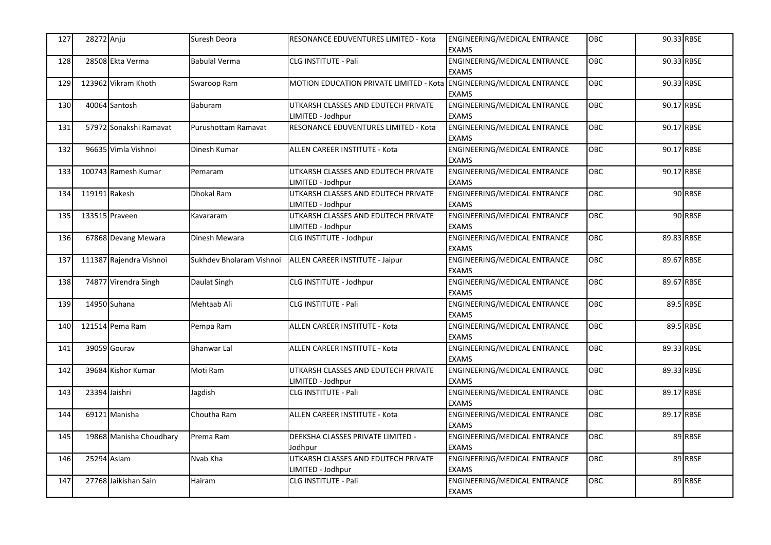| 127 | 28272 Anju    |                         | Suresh Deora             | RESONANCE EDUVENTURES LIMITED - Kota                     | ENGINEERING/MEDICAL ENTRANCE<br><b>EXAMS</b>        | OBC        | 90.33 RBSE |           |
|-----|---------------|-------------------------|--------------------------|----------------------------------------------------------|-----------------------------------------------------|------------|------------|-----------|
| 128 |               | 28508 Ekta Verma        | <b>Babulal Verma</b>     | <b>CLG INSTITUTE - Pali</b>                              | ENGINEERING/MEDICAL ENTRANCE<br><b>EXAMS</b>        | OBC        | 90.33 RBSE |           |
| 129 |               | 123962 Vikram Khoth     | Swaroop Ram              | MOTION EDUCATION PRIVATE LIMITED - Kota                  | <b>ENGINEERING/MEDICAL ENTRANCE</b><br><b>EXAMS</b> | OBC        | 90.33 RBSE |           |
| 130 |               | 40064 Santosh           | Baburam                  | UTKARSH CLASSES AND EDUTECH PRIVATE<br>LIMITED - Jodhpur | ENGINEERING/MEDICAL ENTRANCE<br><b>EXAMS</b>        | OBC        | 90.17 RBSE |           |
| 131 |               | 57972 Sonakshi Ramavat  | Purushottam Ramavat      | RESONANCE EDUVENTURES LIMITED - Kota                     | ENGINEERING/MEDICAL ENTRANCE<br><b>EXAMS</b>        | OBC        | 90.17 RBSE |           |
| 132 |               | 96635 Vimla Vishnoi     | Dinesh Kumar             | ALLEN CAREER INSTITUTE - Kota                            | ENGINEERING/MEDICAL ENTRANCE<br><b>EXAMS</b>        | <b>OBC</b> | 90.17 RBSE |           |
| 133 |               | 100743 Ramesh Kumar     | Pemaram                  | UTKARSH CLASSES AND EDUTECH PRIVATE<br>LIMITED - Jodhpur | ENGINEERING/MEDICAL ENTRANCE<br><b>EXAMS</b>        | OBC        | 90.17 RBSE |           |
| 134 | 119191 Rakesh |                         | <b>Dhokal Ram</b>        | UTKARSH CLASSES AND EDUTECH PRIVATE<br>LIMITED - Jodhpur | ENGINEERING/MEDICAL ENTRANCE<br><b>EXAMS</b>        | OBC        |            | 90 RBSE   |
| 135 |               | 133515 Praveen          | Kavararam                | UTKARSH CLASSES AND EDUTECH PRIVATE<br>LIMITED - Jodhpur | ENGINEERING/MEDICAL ENTRANCE<br><b>EXAMS</b>        | <b>OBC</b> |            | 90 RBSE   |
| 136 |               | 67868 Devang Mewara     | Dinesh Mewara            | CLG INSTITUTE - Jodhpur                                  | ENGINEERING/MEDICAL ENTRANCE<br><b>EXAMS</b>        | OBC        | 89.83 RBSE |           |
| 137 |               | 111387 Rajendra Vishnoi | Sukhdev Bholaram Vishnoi | ALLEN CAREER INSTITUTE - Jaipur                          | <b>ENGINEERING/MEDICAL ENTRANCE</b><br><b>EXAMS</b> | OBC        | 89.67 RBSE |           |
| 138 |               | 74877 Virendra Singh    | Daulat Singh             | CLG INSTITUTE - Jodhpur                                  | ENGINEERING/MEDICAL ENTRANCE<br><b>EXAMS</b>        | OBC        | 89.67 RBSE |           |
| 139 |               | 14950 Suhana            | Mehtaab Ali              | CLG INSTITUTE - Pali                                     | ENGINEERING/MEDICAL ENTRANCE<br><b>EXAMS</b>        | OBC        |            | 89.5 RBSE |
| 140 |               | 121514 Pema Ram         | Pempa Ram                | ALLEN CAREER INSTITUTE - Kota                            | ENGINEERING/MEDICAL ENTRANCE<br><b>EXAMS</b>        | OBC        |            | 89.5 RBSE |
| 141 |               | 39059 Gourav            | <b>Bhanwar Lal</b>       | <b>ALLEN CAREER INSTITUTE - Kota</b>                     | ENGINEERING/MEDICAL ENTRANCE<br><b>EXAMS</b>        | OBC        | 89.33 RBSE |           |
| 142 |               | 39684 Kishor Kumar      | Moti Ram                 | UTKARSH CLASSES AND EDUTECH PRIVATE<br>LIMITED - Jodhpur | ENGINEERING/MEDICAL ENTRANCE<br><b>EXAMS</b>        | OBC        | 89.33 RBSE |           |
| 143 | 23394 Jaishri |                         | Jagdish                  | CLG INSTITUTE - Pali                                     | ENGINEERING/MEDICAL ENTRANCE<br><b>EXAMS</b>        | OBC        | 89.17 RBSE |           |
| 144 |               | 69121 Manisha           | Choutha Ram              | ALLEN CAREER INSTITUTE - Kota                            | ENGINEERING/MEDICAL ENTRANCE<br><b>EXAMS</b>        | OBC        | 89.17 RBSE |           |
| 145 |               | 19868 Manisha Choudhary | Prema Ram                | DEEKSHA CLASSES PRIVATE LIMITED -<br>Jodhpur             | ENGINEERING/MEDICAL ENTRANCE<br><b>EXAMS</b>        | OBC        |            | 89 RBSE   |
| 146 | 25294 Aslam   |                         | Nvab Kha                 | UTKARSH CLASSES AND EDUTECH PRIVATE<br>LIMITED - Jodhpur | ENGINEERING/MEDICAL ENTRANCE<br><b>EXAMS</b>        | <b>OBC</b> |            | 89 RBSE   |
| 147 |               | 27768 Jaikishan Sain    | Hairam                   | CLG INSTITUTE - Pali                                     | ENGINEERING/MEDICAL ENTRANCE<br><b>EXAMS</b>        | OBC        |            | 89 RBSE   |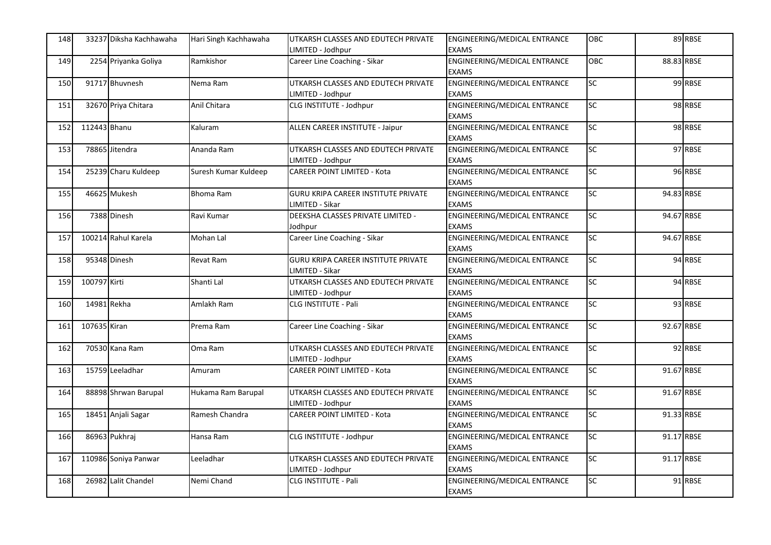| 148 |              | 33237 Diksha Kachhawaha | Hari Singh Kachhawaha | UTKARSH CLASSES AND EDUTECH PRIVATE<br>IMITED - Jodhpur       | ENGINEERING/MEDICAL ENTRANCE<br><b>EXAMS</b>        | <b>OBC</b>      |            | 89 RBSE |
|-----|--------------|-------------------------|-----------------------|---------------------------------------------------------------|-----------------------------------------------------|-----------------|------------|---------|
| 149 |              | 2254 Priyanka Goliya    | Ramkishor             | Career Line Coaching - Sikar                                  | ENGINEERING/MEDICAL ENTRANCE<br><b>EXAMS</b>        | <b>OBC</b>      | 88.83 RBSE |         |
| 150 |              | 91717 Bhuvnesh          | Nema Ram              | UTKARSH CLASSES AND EDUTECH PRIVATE<br>LIMITED - Jodhpur      | <b>ENGINEERING/MEDICAL ENTRANCE</b><br><b>EXAMS</b> | <b>SC</b>       |            | 99 RBSE |
| 151 |              | 32670 Priya Chitara     | Anil Chitara          | CLG INSTITUTE - Jodhpur                                       | ENGINEERING/MEDICAL ENTRANCE<br><b>EXAMS</b>        | SC              |            | 98 RBSE |
| 152 | 112443 Bhanu |                         | Kaluram               | ALLEN CAREER INSTITUTE - Jaipur                               | ENGINEERING/MEDICAL ENTRANCE<br><b>EXAMS</b>        | <b>SC</b>       |            | 98 RBSE |
| 153 |              | 78865 Jitendra          | Ananda Ram            | UTKARSH CLASSES AND EDUTECH PRIVATE<br>LIMITED - Jodhpur      | ENGINEERING/MEDICAL ENTRANCE<br><b>EXAMS</b>        | SC              |            | 97 RBSE |
| 154 |              | 25239 Charu Kuldeep     | Suresh Kumar Kuldeep  | <b>CAREER POINT LIMITED - Kota</b>                            | <b>ENGINEERING/MEDICAL ENTRANCE</b><br><b>EXAMS</b> | <b>SC</b>       |            | 96 RBSE |
| 155 |              | 46625 Mukesh            | Bhoma Ram             | <b>GURU KRIPA CAREER INSTITUTE PRIVATE</b><br>LIMITED - Sikar | ENGINEERING/MEDICAL ENTRANCE<br><b>EXAMS</b>        | $\overline{SC}$ | 94.83 RBSE |         |
| 156 |              | 7388 Dinesh             | Ravi Kumar            | DEEKSHA CLASSES PRIVATE LIMITED -<br>Iodhpur                  | <b>ENGINEERING/MEDICAL ENTRANCE</b><br><b>EXAMS</b> | <b>SC</b>       | 94.67 RBSE |         |
| 157 |              | 100214 Rahul Karela     | Mohan Lal             | Career Line Coaching - Sikar                                  | ENGINEERING/MEDICAL ENTRANCE<br><b>EXAMS</b>        | SC              | 94.67 RBSE |         |
| 158 |              | 95348 Dinesh            | Revat Ram             | <b>GURU KRIPA CAREER INSTITUTE PRIVATE</b><br>LIMITED - Sikar | <b>ENGINEERING/MEDICAL ENTRANCE</b><br><b>EXAMS</b> | $\overline{SC}$ |            | 94 RBSE |
| 159 | 100797 Kirti |                         | Shanti Lal            | UTKARSH CLASSES AND EDUTECH PRIVATE<br>LIMITED - Jodhpur      | ENGINEERING/MEDICAL ENTRANCE<br><b>EXAMS</b>        | SC              |            | 94 RBSE |
| 160 |              | 14981 Rekha             | Amlakh Ram            | CLG INSTITUTE - Pali                                          | <b>ENGINEERING/MEDICAL ENTRANCE</b><br><b>EXAMS</b> | <b>SC</b>       |            | 93 RBSE |
| 161 | 107635 Kiran |                         | Prema Ram             | Career Line Coaching - Sikar                                  | ENGINEERING/MEDICAL ENTRANCE<br><b>EXAMS</b>        | SC              | 92.67 RBSE |         |
| 162 |              | 70530 Kana Ram          | Oma Ram               | UTKARSH CLASSES AND EDUTECH PRIVATE<br>LIMITED - Jodhpur      | ENGINEERING/MEDICAL ENTRANCE<br><b>EXAMS</b>        | $\overline{SC}$ |            | 92 RBSE |
| 163 |              | 15759 Leeladhar         | Amuram                | <b>CAREER POINT LIMITED - Kota</b>                            | ENGINEERING/MEDICAL ENTRANCE<br><b>EXAMS</b>        | SC              | 91.67 RBSE |         |
| 164 |              | 88898 Shrwan Barupal    | Hukama Ram Barupal    | UTKARSH CLASSES AND EDUTECH PRIVATE<br>LIMITED - Jodhpur      | ENGINEERING/MEDICAL ENTRANCE<br><b>EXAMS</b>        | <b>SC</b>       | 91.67 RBSE |         |
| 165 |              | 18451 Anjali Sagar      | Ramesh Chandra        | <b>CAREER POINT LIMITED - Kota</b>                            | ENGINEERING/MEDICAL ENTRANCE<br><b>EXAMS</b>        | SC              | 91.33 RBSE |         |
| 166 |              | 86963 Pukhraj           | Hansa Ram             | CLG INSTITUTE - Jodhpur                                       | ENGINEERING/MEDICAL ENTRANCE<br><b>EXAMS</b>        | SC              | 91.17 RBSE |         |
| 167 |              | 110986 Soniya Panwar    | Leeladhar             | UTKARSH CLASSES AND EDUTECH PRIVATE<br>LIMITED - Jodhpur      | ENGINEERING/MEDICAL ENTRANCE<br><b>EXAMS</b>        | <b>SC</b>       | 91.17 RBSE |         |
| 168 |              | 26982 Lalit Chandel     | Nemi Chand            | CLG INSTITUTE - Pali                                          | ENGINEERING/MEDICAL ENTRANCE<br><b>EXAMS</b>        | <b>SC</b>       |            | 91 RBSE |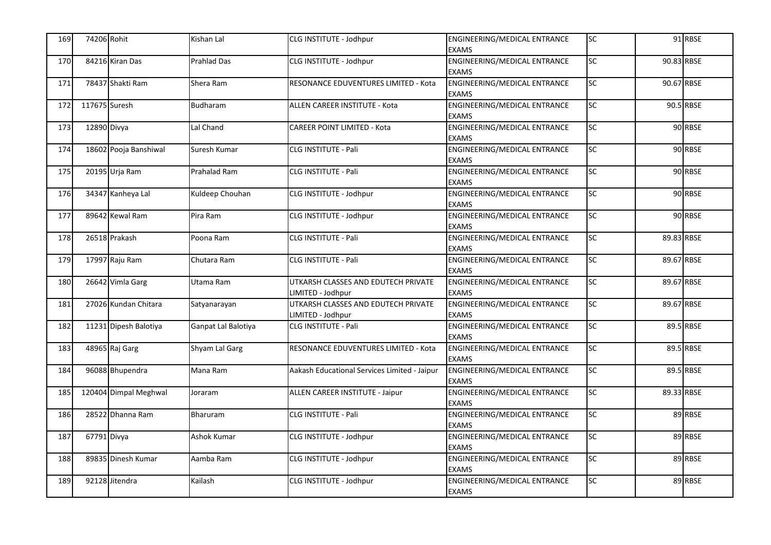| 169 | 74206 Rohit   |                       | Kishan Lal          | CLG INSTITUTE - Jodhpur                                  | ENGINEERING/MEDICAL ENTRANCE<br><b>EXAMS</b>        | <b>SC</b>       |            | 91 RBSE   |
|-----|---------------|-----------------------|---------------------|----------------------------------------------------------|-----------------------------------------------------|-----------------|------------|-----------|
| 170 |               | 84216 Kiran Das       | <b>Prahlad Das</b>  | CLG INSTITUTE - Jodhpur                                  | ENGINEERING/MEDICAL ENTRANCE<br><b>EXAMS</b>        | $\overline{SC}$ | 90.83 RBSE |           |
| 171 |               | 78437 Shakti Ram      | Shera Ram           | RESONANCE EDUVENTURES LIMITED - Kota                     | ENGINEERING/MEDICAL ENTRANCE<br><b>EXAMS</b>        | <b>SC</b>       | 90.67 RBSE |           |
| 172 | 117675 Suresh |                       | Budharam            | ALLEN CAREER INSTITUTE - Kota                            | ENGINEERING/MEDICAL ENTRANCE<br><b>EXAMS</b>        | <b>SC</b>       |            | 90.5 RBSE |
| 173 | 12890 Divya   |                       | Lal Chand           | CAREER POINT LIMITED - Kota                              | ENGINEERING/MEDICAL ENTRANCE<br><b>EXAMS</b>        | <b>SC</b>       |            | 90 RBSE   |
| 174 |               | 18602 Pooja Banshiwal | Suresh Kumar        | <b>CLG INSTITUTE - Pali</b>                              | ENGINEERING/MEDICAL ENTRANCE<br><b>EXAMS</b>        | SC              |            | 90 RBSE   |
| 175 |               | 20195 Urja Ram        | <b>Prahalad Ram</b> | <b>CLG INSTITUTE - Pali</b>                              | <b>ENGINEERING/MEDICAL ENTRANCE</b><br><b>EXAMS</b> | <b>SC</b>       |            | 90 RBSE   |
| 176 |               | 34347 Kanheya Lal     | Kuldeep Chouhan     | CLG INSTITUTE - Jodhpur                                  | ENGINEERING/MEDICAL ENTRANCE<br><b>EXAMS</b>        | $\overline{SC}$ |            | 90 RBSE   |
| 177 |               | 89642 Kewal Ram       | Pira Ram            | CLG INSTITUTE - Jodhpur                                  | <b>ENGINEERING/MEDICAL ENTRANCE</b><br><b>EXAMS</b> | <b>SC</b>       |            | 90 RBSE   |
| 178 |               | 26518 Prakash         | Poona Ram           | CLG INSTITUTE - Pali                                     | ENGINEERING/MEDICAL ENTRANCE<br><b>EXAMS</b>        | SC              | 89.83 RBSE |           |
| 179 |               | 17997 Raju Ram        | Chutara Ram         | <b>CLG INSTITUTE - Pali</b>                              | <b>ENGINEERING/MEDICAL ENTRANCE</b><br><b>EXAMS</b> | $\overline{SC}$ | 89.67 RBSE |           |
| 180 |               | 26642 Vimla Garg      | Utama Ram           | UTKARSH CLASSES AND EDUTECH PRIVATE<br>LIMITED - Jodhpur | ENGINEERING/MEDICAL ENTRANCE<br><b>EXAMS</b>        | SC              | 89.67 RBSE |           |
| 181 |               | 27026 Kundan Chitara  | Satyanarayan        | UTKARSH CLASSES AND EDUTECH PRIVATE<br>LIMITED - Jodhpur | ENGINEERING/MEDICAL ENTRANCE<br><b>EXAMS</b>        | <b>SC</b>       | 89.67 RBSE |           |
| 182 |               | 11231 Dipesh Balotiya | Ganpat Lal Balotiya | CLG INSTITUTE - Pali                                     | ENGINEERING/MEDICAL ENTRANCE<br><b>EXAMS</b>        | SC              |            | 89.5 RBSE |
| 183 |               | 48965 Raj Garg        | Shyam Lal Garg      | RESONANCE EDUVENTURES LIMITED - Kota                     | ENGINEERING/MEDICAL ENTRANCE<br><b>EXAMS</b>        | $\overline{SC}$ |            | 89.5 RBSE |
| 184 |               | 96088 Bhupendra       | Mana Ram            | Aakash Educational Services Limited - Jaipur             | ENGINEERING/MEDICAL ENTRANCE<br><b>EXAMS</b>        | SC              |            | 89.5 RBSE |
| 185 |               | 120404 Dimpal Meghwal | Joraram             | ALLEN CAREER INSTITUTE - Jaipur                          | ENGINEERING/MEDICAL ENTRANCE<br><b>EXAMS</b>        | <b>SC</b>       | 89.33 RBSE |           |
| 186 |               | 28522 Dhanna Ram      | Bharuram            | CLG INSTITUTE - Pali                                     | ENGINEERING/MEDICAL ENTRANCE<br><b>EXAMS</b>        | SC              |            | 89 RBSE   |
| 187 | 67791 Divya   |                       | Ashok Kumar         | CLG INSTITUTE - Jodhpur                                  | ENGINEERING/MEDICAL ENTRANCE<br><b>EXAMS</b>        | SC              |            | 89 RBSE   |
| 188 |               | 89835 Dinesh Kumar    | Aamba Ram           | CLG INSTITUTE - Jodhpur                                  | <b>ENGINEERING/MEDICAL ENTRANCE</b><br><b>EXAMS</b> | <b>SC</b>       |            | 89 RBSE   |
| 189 |               | 92128 Jitendra        | Kailash             | CLG INSTITUTE - Jodhpur                                  | ENGINEERING/MEDICAL ENTRANCE<br><b>EXAMS</b>        | <b>SC</b>       |            | 89 RBSE   |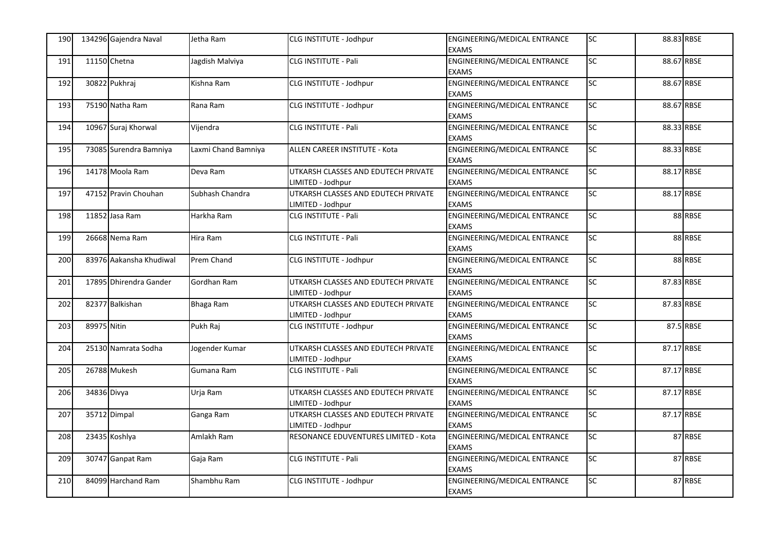| 190 |             | 134296 Gajendra Naval   | Jetha Ram           | CLG INSTITUTE - Jodhpur                                  | ENGINEERING/MEDICAL ENTRANCE<br><b>EXAMS</b>        | <b>SC</b>       | 88.83 RBSE |           |
|-----|-------------|-------------------------|---------------------|----------------------------------------------------------|-----------------------------------------------------|-----------------|------------|-----------|
| 191 |             | 11150 Chetna            | Jagdish Malviya     | <b>CLG INSTITUTE - Pali</b>                              | ENGINEERING/MEDICAL ENTRANCE<br><b>EXAMS</b>        | $\overline{SC}$ | 88.67 RBSE |           |
| 192 |             | 30822 Pukhraj           | Kishna Ram          | CLG INSTITUTE - Jodhpur                                  | <b>ENGINEERING/MEDICAL ENTRANCE</b><br><b>EXAMS</b> | <b>SC</b>       | 88.67 RBSE |           |
| 193 |             | 75190 Natha Ram         | Rana Ram            | CLG INSTITUTE - Jodhpur                                  | ENGINEERING/MEDICAL ENTRANCE<br><b>EXAMS</b>        | <b>SC</b>       | 88.67 RBSE |           |
| 194 |             | 10967 Suraj Khorwal     | Vijendra            | CLG INSTITUTE - Pali                                     | ENGINEERING/MEDICAL ENTRANCE<br><b>EXAMS</b>        | <b>SC</b>       | 88.33 RBSE |           |
| 195 |             | 73085 Surendra Bamniya  | Laxmi Chand Bamniya | ALLEN CAREER INSTITUTE - Kota                            | ENGINEERING/MEDICAL ENTRANCE<br><b>EXAMS</b>        | SC              | 88.33 RBSE |           |
| 196 |             | 14178 Moola Ram         | Deva Ram            | UTKARSH CLASSES AND EDUTECH PRIVATE<br>LIMITED - Jodhpur | <b>ENGINEERING/MEDICAL ENTRANCE</b><br><b>EXAMS</b> | <b>SC</b>       | 88.17 RBSE |           |
| 197 |             | 47152 Pravin Chouhan    | Subhash Chandra     | UTKARSH CLASSES AND EDUTECH PRIVATE<br>LIMITED - Jodhpur | ENGINEERING/MEDICAL ENTRANCE<br><b>EXAMS</b>        | $\overline{SC}$ | 88.17 RBSE |           |
| 198 |             | 11852 Jasa Ram          | Harkha Ram          | <b>CLG INSTITUTE - Pali</b>                              | <b>ENGINEERING/MEDICAL ENTRANCE</b><br><b>EXAMS</b> | <b>SC</b>       |            | 88 RBSE   |
| 199 |             | 26668 Nema Ram          | Hira Ram            | CLG INSTITUTE - Pali                                     | ENGINEERING/MEDICAL ENTRANCE<br><b>EXAMS</b>        | SC              |            | 88 RBSE   |
| 200 |             | 83976 Aakansha Khudiwal | Prem Chand          | CLG INSTITUTE - Jodhpur                                  | ENGINEERING/MEDICAL ENTRANCE<br><b>EXAMS</b>        | $\overline{SC}$ |            | 88 RBSE   |
| 201 |             | 17895 Dhirendra Gander  | Gordhan Ram         | UTKARSH CLASSES AND EDUTECH PRIVATE<br>LIMITED - Jodhpur | ENGINEERING/MEDICAL ENTRANCE<br><b>EXAMS</b>        | SC              | 87.83 RBSE |           |
| 202 |             | 82377 Balkishan         | <b>Bhaga Ram</b>    | UTKARSH CLASSES AND EDUTECH PRIVATE<br>LIMITED - Jodhpur | ENGINEERING/MEDICAL ENTRANCE<br><b>EXAMS</b>        | <b>SC</b>       | 87.83 RBSE |           |
| 203 | 89975 Nitin |                         | Pukh Raj            | CLG INSTITUTE - Jodhpur                                  | ENGINEERING/MEDICAL ENTRANCE<br><b>EXAMS</b>        | SC              |            | 87.5 RBSE |
| 204 |             | 25130 Namrata Sodha     | Jogender Kumar      | UTKARSH CLASSES AND EDUTECH PRIVATE<br>LIMITED - Jodhpur | ENGINEERING/MEDICAL ENTRANCE<br><b>EXAMS</b>        | $\overline{SC}$ | 87.17 RBSE |           |
| 205 |             | 26788 Mukesh            | Gumana Ram          | <b>CLG INSTITUTE - Pali</b>                              | ENGINEERING/MEDICAL ENTRANCE<br><b>EXAMS</b>        | SC              | 87.17 RBSE |           |
| 206 | 34836 Divya |                         | Urja Ram            | UTKARSH CLASSES AND EDUTECH PRIVATE<br>LIMITED - Jodhpur | ENGINEERING/MEDICAL ENTRANCE<br><b>EXAMS</b>        | <b>SC</b>       | 87.17 RBSE |           |
| 207 |             | 35712 Dimpal            | Ganga Ram           | UTKARSH CLASSES AND EDUTECH PRIVATE<br>LIMITED - Jodhpur | ENGINEERING/MEDICAL ENTRANCE<br><b>EXAMS</b>        | $\overline{SC}$ | 87.17 RBSE |           |
| 208 |             | 23435 Koshlya           | Amlakh Ram          | RESONANCE EDUVENTURES LIMITED - Kota                     | ENGINEERING/MEDICAL ENTRANCE<br><b>EXAMS</b>        | SC              |            | 87 RBSE   |
| 209 |             | 30747 Ganpat Ram        | Gaja Ram            | CLG INSTITUTE - Pali                                     | <b>ENGINEERING/MEDICAL ENTRANCE</b><br><b>EXAMS</b> | <b>SC</b>       |            | 87 RBSE   |
| 210 |             | 84099 Harchand Ram      | Shambhu Ram         | CLG INSTITUTE - Jodhpur                                  | ENGINEERING/MEDICAL ENTRANCE<br><b>EXAMS</b>        | <b>SC</b>       |            | 87 RBSE   |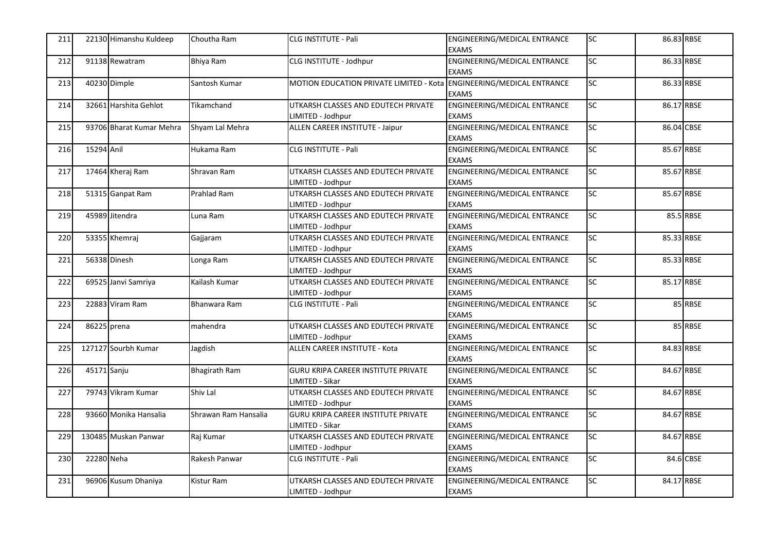| 211 |             | 22130 Himanshu Kuldeep   | Choutha Ram          | <b>CLG INSTITUTE - Pali</b>                                   | ENGINEERING/MEDICAL ENTRANCE<br><b>EXAMS</b> | <b>SC</b>       | 86.83 RBSE |           |
|-----|-------------|--------------------------|----------------------|---------------------------------------------------------------|----------------------------------------------|-----------------|------------|-----------|
| 212 |             | 91138 Rewatram           | Bhiya Ram            | CLG INSTITUTE - Jodhpur                                       | ENGINEERING/MEDICAL ENTRANCE<br><b>EXAMS</b> | $\overline{SC}$ | 86.33 RBSE |           |
| 213 |             | 40230 Dimple             | Santosh Kumar        | MOTION EDUCATION PRIVATE LIMITED - Kota                       | ENGINEERING/MEDICAL ENTRANCE<br><b>EXAMS</b> | <b>SC</b>       | 86.33 RBSE |           |
| 214 |             | 32661 Harshita Gehlot    | Tikamchand           | UTKARSH CLASSES AND EDUTECH PRIVATE<br>LIMITED - Jodhpur      | ENGINEERING/MEDICAL ENTRANCE<br><b>EXAMS</b> | <b>SC</b>       | 86.17 RBSE |           |
| 215 |             | 93706 Bharat Kumar Mehra | Shyam Lal Mehra      | ALLEN CAREER INSTITUTE - Jaipur                               | ENGINEERING/MEDICAL ENTRANCE<br><b>EXAMS</b> | <b>SC</b>       | 86.04 CBSE |           |
| 216 | 15294 Anil  |                          | Hukama Ram           | <b>CLG INSTITUTE - Pali</b>                                   | ENGINEERING/MEDICAL ENTRANCE<br><b>EXAMS</b> | SC              | 85.67 RBSE |           |
| 217 |             | 17464 Kheraj Ram         | Shravan Ram          | UTKARSH CLASSES AND EDUTECH PRIVATE<br>LIMITED - Jodhpur      | ENGINEERING/MEDICAL ENTRANCE<br><b>EXAMS</b> | <b>SC</b>       | 85.67 RBSE |           |
| 218 |             | 51315 Ganpat Ram         | Prahlad Ram          | UTKARSH CLASSES AND EDUTECH PRIVATE<br>LIMITED - Jodhpur      | ENGINEERING/MEDICAL ENTRANCE<br><b>EXAMS</b> | $\overline{SC}$ | 85.67 RBSE |           |
| 219 |             | 45989 Jitendra           | Luna Ram             | UTKARSH CLASSES AND EDUTECH PRIVATE<br>LIMITED - Jodhpur      | ENGINEERING/MEDICAL ENTRANCE<br><b>EXAMS</b> | <b>SC</b>       |            | 85.5 RBSE |
| 220 |             | 53355 Khemraj            | Gajjaram             | UTKARSH CLASSES AND EDUTECH PRIVATE<br>IMITED - Jodhpur       | ENGINEERING/MEDICAL ENTRANCE<br><b>EXAMS</b> | SC              | 85.33 RBSE |           |
| 221 |             | 56338 Dinesh             | Longa Ram            | UTKARSH CLASSES AND EDUTECH PRIVATE<br>LIMITED - Jodhpur      | ENGINEERING/MEDICAL ENTRANCE<br><b>EXAMS</b> | $\overline{SC}$ | 85.33 RBSE |           |
| 222 |             | 69525 Janvi Samriya      | Kailash Kumar        | UTKARSH CLASSES AND EDUTECH PRIVATE<br>LIMITED - Jodhpur      | ENGINEERING/MEDICAL ENTRANCE<br><b>EXAMS</b> | $\overline{SC}$ | 85.17 RBSE |           |
| 223 |             | 22883 Viram Ram          | Bhanwara Ram         | <b>CLG INSTITUTE - Pali</b>                                   | ENGINEERING/MEDICAL ENTRANCE<br><b>EXAMS</b> | $\overline{SC}$ |            | 85 RBSE   |
| 224 | 86225 prena |                          | mahendra             | UTKARSH CLASSES AND EDUTECH PRIVATE<br>LIMITED - Jodhpur      | ENGINEERING/MEDICAL ENTRANCE<br><b>EXAMS</b> | SC              |            | 85 RBSE   |
| 225 |             | 127127 Sourbh Kumar      | Jagdish              | <b>ALLEN CAREER INSTITUTE - Kota</b>                          | ENGINEERING/MEDICAL ENTRANCE<br><b>EXAMS</b> | $\overline{SC}$ | 84.83 RBSE |           |
| 226 | 45171 Sanju |                          | Bhagirath Ram        | <b>GURU KRIPA CAREER INSTITUTE PRIVATE</b><br>LIMITED - Sikar | ENGINEERING/MEDICAL ENTRANCE<br><b>EXAMS</b> | SC              | 84.67 RBSE |           |
| 227 |             | 79743 Vikram Kumar       | Shiv Lal             | UTKARSH CLASSES AND EDUTECH PRIVATE<br>LIMITED - Jodhpur      | ENGINEERING/MEDICAL ENTRANCE<br><b>EXAMS</b> | <b>SC</b>       | 84.67 RBSE |           |
| 228 |             | 93660 Monika Hansalia    | Shrawan Ram Hansalia | <b>GURU KRIPA CAREER INSTITUTE PRIVATE</b><br>LIMITED - Sikar | ENGINEERING/MEDICAL ENTRANCE<br><b>EXAMS</b> | $\overline{SC}$ | 84.67 RBSE |           |
| 229 |             | 130485 Muskan Panwar     | Raj Kumar            | UTKARSH CLASSES AND EDUTECH PRIVATE<br>IMITED - Jodhpur       | ENGINEERING/MEDICAL ENTRANCE<br><b>EXAMS</b> | SC              | 84.67 RBSE |           |
| 230 | 22280 Neha  |                          | Rakesh Panwar        | CLG INSTITUTE - Pali                                          | ENGINEERING/MEDICAL ENTRANCE<br><b>EXAMS</b> | <b>SC</b>       |            | 84.6 CBSE |
| 231 |             | 96906 Kusum Dhaniya      | Kistur Ram           | UTKARSH CLASSES AND EDUTECH PRIVATE<br>LIMITED - Jodhpur      | ENGINEERING/MEDICAL ENTRANCE<br><b>EXAMS</b> | <b>SC</b>       | 84.17 RBSE |           |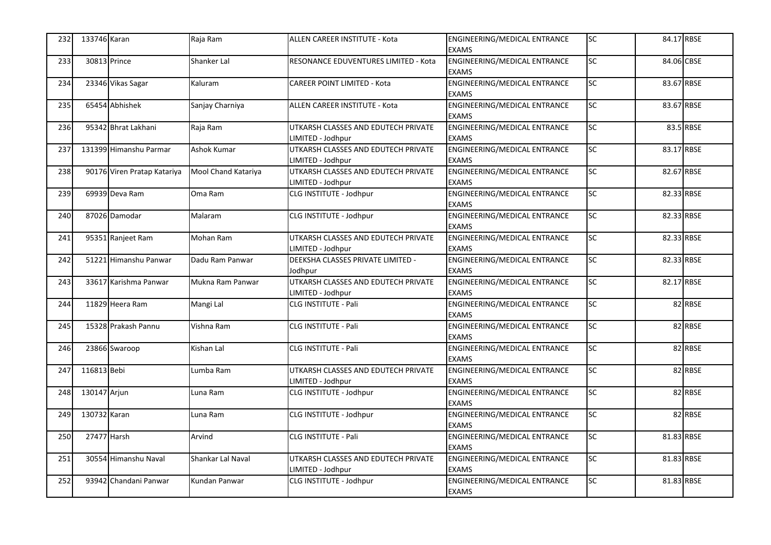| 232 | 133746 Karan |                             | Raja Ram            | ALLEN CAREER INSTITUTE - Kota                            | ENGINEERING/MEDICAL ENTRANCE<br><b>EXAMS</b> | <b>SC</b>       | 84.17 RBSE |           |
|-----|--------------|-----------------------------|---------------------|----------------------------------------------------------|----------------------------------------------|-----------------|------------|-----------|
| 233 | 30813 Prince |                             | Shanker Lal         | <b>RESONANCE EDUVENTURES LIMITED - Kota</b>              | ENGINEERING/MEDICAL ENTRANCE<br><b>EXAMS</b> | $\overline{SC}$ | 84.06 CBSE |           |
| 234 |              | 23346 Vikas Sagar           | Kaluram             | <b>CAREER POINT LIMITED - Kota</b>                       | ENGINEERING/MEDICAL ENTRANCE<br><b>EXAMS</b> | <b>SC</b>       | 83.67 RBSE |           |
| 235 |              | 65454 Abhishek              | Sanjay Charniya     | ALLEN CAREER INSTITUTE - Kota                            | ENGINEERING/MEDICAL ENTRANCE<br><b>EXAMS</b> | <b>SC</b>       | 83.67 RBSE |           |
| 236 |              | 95342 Bhrat Lakhani         | Raja Ram            | UTKARSH CLASSES AND EDUTECH PRIVATE<br>LIMITED - Jodhpur | ENGINEERING/MEDICAL ENTRANCE<br><b>EXAMS</b> | <b>SC</b>       |            | 83.5 RBSE |
| 237 |              | 131399 Himanshu Parmar      | Ashok Kumar         | UTKARSH CLASSES AND EDUTECH PRIVATE<br>LIMITED - Jodhpur | ENGINEERING/MEDICAL ENTRANCE<br><b>EXAMS</b> | SC              | 83.17 RBSE |           |
| 238 |              | 90176 Viren Pratap Katariya | Mool Chand Katariya | UTKARSH CLASSES AND EDUTECH PRIVATE<br>LIMITED - Jodhpur | ENGINEERING/MEDICAL ENTRANCE<br><b>EXAMS</b> | <b>SC</b>       | 82.67 RBSE |           |
| 239 |              | 69939 Deva Ram              | Oma Ram             | CLG INSTITUTE - Jodhpur                                  | ENGINEERING/MEDICAL ENTRANCE<br><b>EXAMS</b> | $\overline{SC}$ | 82.33 RBSE |           |
| 240 |              | 87026 Damodar               | Malaram             | CLG INSTITUTE - Jodhpur                                  | ENGINEERING/MEDICAL ENTRANCE<br><b>EXAMS</b> | <b>SC</b>       | 82.33 RBSE |           |
| 241 |              | 95351 Ranjeet Ram           | Mohan Ram           | UTKARSH CLASSES AND EDUTECH PRIVATE<br>LIMITED - Jodhpur | ENGINEERING/MEDICAL ENTRANCE<br><b>EXAMS</b> | $\overline{SC}$ | 82.33 RBSE |           |
| 242 |              | 51221 Himanshu Panwar       | Dadu Ram Panwar     | DEEKSHA CLASSES PRIVATE LIMITED -<br>Jodhpur             | ENGINEERING/MEDICAL ENTRANCE<br><b>EXAMS</b> | $\overline{SC}$ | 82.33 RBSE |           |
| 243 |              | 33617 Karishma Panwar       | Mukna Ram Panwar    | UTKARSH CLASSES AND EDUTECH PRIVATE<br>LIMITED - Jodhpur | ENGINEERING/MEDICAL ENTRANCE<br><b>EXAMS</b> | $\overline{SC}$ | 82.17 RBSE |           |
| 244 |              | 11829 Heera Ram             | Mangi Lal           | <b>CLG INSTITUTE - Pali</b>                              | ENGINEERING/MEDICAL ENTRANCE<br><b>EXAMS</b> | $\overline{SC}$ |            | 82 RBSE   |
| 245 |              | 15328 Prakash Pannu         | Vishna Ram          | CLG INSTITUTE - Pali                                     | ENGINEERING/MEDICAL ENTRANCE<br><b>EXAMS</b> | SC              |            | 82 RBSE   |
| 246 |              | 23866 Swaroop               | Kishan Lal          | <b>CLG INSTITUTE - Pali</b>                              | ENGINEERING/MEDICAL ENTRANCE<br><b>EXAMS</b> | $\overline{SC}$ |            | 82 RBSE   |
| 247 | 116813 Bebi  |                             | Lumba Ram           | UTKARSH CLASSES AND EDUTECH PRIVATE<br>LIMITED - Jodhpur | ENGINEERING/MEDICAL ENTRANCE<br><b>EXAMS</b> | SC              |            | 82 RBSE   |
| 248 | 130147 Arjun |                             | Luna Ram            | CLG INSTITUTE - Jodhpur                                  | ENGINEERING/MEDICAL ENTRANCE<br><b>EXAMS</b> | <b>SC</b>       |            | 82 RBSE   |
| 249 | 130732 Karan |                             | Luna Ram            | CLG INSTITUTE - Jodhpur                                  | ENGINEERING/MEDICAL ENTRANCE<br><b>EXAMS</b> | $\overline{SC}$ |            | 82 RBSE   |
| 250 | 27477 Harsh  |                             | Arvind              | CLG INSTITUTE - Pali                                     | ENGINEERING/MEDICAL ENTRANCE<br><b>EXAMS</b> | SC              | 81.83 RBSE |           |
| 251 |              | 30554 Himanshu Naval        | Shankar Lal Naval   | UTKARSH CLASSES AND EDUTECH PRIVATE<br>LIMITED - Jodhpur | ENGINEERING/MEDICAL ENTRANCE<br><b>EXAMS</b> | <b>SC</b>       | 81.83 RBSE |           |
| 252 |              | 93942 Chandani Panwar       | Kundan Panwar       | CLG INSTITUTE - Jodhpur                                  | ENGINEERING/MEDICAL ENTRANCE<br><b>EXAMS</b> | <b>SC</b>       | 81.83 RBSE |           |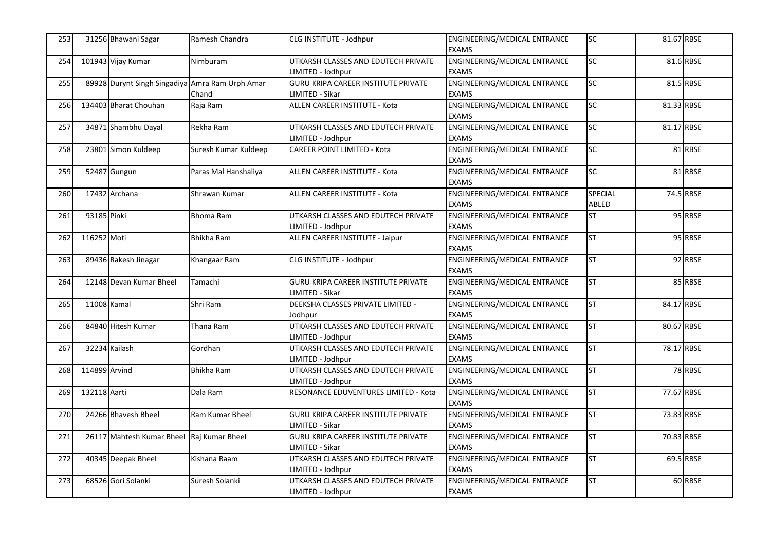| 253 |               | 31256 Bhawani Sagar                             | Ramesh Chandra       | CLG INSTITUTE - Jodhpur                                       | ENGINEERING/MEDICAL ENTRANCE<br><b>EXAMS</b>        | <b>SC</b>        | 81.67 RBSE |           |
|-----|---------------|-------------------------------------------------|----------------------|---------------------------------------------------------------|-----------------------------------------------------|------------------|------------|-----------|
| 254 |               | 101943 Vijay Kumar                              | Nimburam             | UTKARSH CLASSES AND EDUTECH PRIVATE<br>LIMITED - Jodhpur      | ENGINEERING/MEDICAL ENTRANCE<br><b>EXAMS</b>        | $\overline{SC}$  |            | 81.6 RBSE |
| 255 |               | 89928 Durynt Singh Singadiya Amra Ram Urph Amar | Chand                | GURU KRIPA CAREER INSTITUTE PRIVATE<br>LIMITED - Sikar        | <b>ENGINEERING/MEDICAL ENTRANCE</b><br><b>EXAMS</b> | <b>SC</b>        |            | 81.5 RBSE |
| 256 |               | 134403 Bharat Chouhan                           | Raja Ram             | ALLEN CAREER INSTITUTE - Kota                                 | ENGINEERING/MEDICAL ENTRANCE<br><b>EXAMS</b>        | <b>SC</b>        | 81.33 RBSE |           |
| 257 |               | 34871 Shambhu Dayal                             | Rekha Ram            | UTKARSH CLASSES AND EDUTECH PRIVATE<br>LIMITED - Jodhpur      | ENGINEERING/MEDICAL ENTRANCE<br><b>EXAMS</b>        | <b>SC</b>        | 81.17 RBSE |           |
| 258 |               | 23801 Simon Kuldeep                             | Suresh Kumar Kuldeep | <b>CAREER POINT LIMITED - Kota</b>                            | ENGINEERING/MEDICAL ENTRANCE<br><b>EXAMS</b>        | SC               |            | 81 RBSE   |
| 259 |               | 52487 Gungun                                    | Paras Mal Hanshaliya | ALLEN CAREER INSTITUTE - Kota                                 | <b>ENGINEERING/MEDICAL ENTRANCE</b><br><b>EXAMS</b> | <b>SC</b>        |            | 81 RBSE   |
| 260 |               | 17432 Archana                                   | Shrawan Kumar        | ALLEN CAREER INSTITUTE - Kota                                 | ENGINEERING/MEDICAL ENTRANCE<br><b>EXAMS</b>        | SPECIAL<br>ABLED |            | 74.5 RBSE |
| 261 | 93185 Pinki   |                                                 | Bhoma Ram            | UTKARSH CLASSES AND EDUTECH PRIVATE<br>LIMITED - Jodhpur      | ENGINEERING/MEDICAL ENTRANCE<br><b>EXAMS</b>        | <b>ST</b>        |            | 95 RBSE   |
| 262 | 116252 Moti   |                                                 | Bhikha Ram           | ALLEN CAREER INSTITUTE - Jaipur                               | ENGINEERING/MEDICAL ENTRANCE<br><b>EXAMS</b>        | <b>ST</b>        |            | 95 RBSE   |
| 263 |               | 89436 Rakesh Jinagar                            | Khangaar Ram         | CLG INSTITUTE - Jodhpur                                       | <b>ENGINEERING/MEDICAL ENTRANCE</b><br><b>EXAMS</b> | <b>ST</b>        |            | 92 RBSE   |
| 264 |               | 12148 Devan Kumar Bheel                         | Tamachi              | <b>GURU KRIPA CAREER INSTITUTE PRIVATE</b><br>LIMITED - Sikar | ENGINEERING/MEDICAL ENTRANCE<br><b>EXAMS</b>        | <b>ST</b>        |            | 85 RBSE   |
| 265 | 11008 Kamal   |                                                 | Shri Ram             | DEEKSHA CLASSES PRIVATE LIMITED -<br>Jodhpur                  | <b>ENGINEERING/MEDICAL ENTRANCE</b><br><b>EXAMS</b> | <b>ST</b>        | 84.17 RBSE |           |
| 266 |               | 84840 Hitesh Kumar                              | Thana Ram            | UTKARSH CLASSES AND EDUTECH PRIVATE<br>LIMITED - Jodhpur      | ENGINEERING/MEDICAL ENTRANCE<br><b>EXAMS</b>        | <b>ST</b>        | 80.67 RBSE |           |
| 267 |               | 32234 Kailash                                   | Gordhan              | UTKARSH CLASSES AND EDUTECH PRIVATE<br>LIMITED - Jodhpur      | ENGINEERING/MEDICAL ENTRANCE<br><b>EXAMS</b>        | <b>ST</b>        | 78.17 RBSE |           |
| 268 | 114899 Arvind |                                                 | Bhikha Ram           | UTKARSH CLASSES AND EDUTECH PRIVATE<br>LIMITED - Jodhpur      | ENGINEERING/MEDICAL ENTRANCE<br><b>EXAMS</b>        | <b>ST</b>        |            | 78 RBSE   |
| 269 | 132118 Aarti  |                                                 | Dala Ram             | RESONANCE EDUVENTURES LIMITED - Kota                          | ENGINEERING/MEDICAL ENTRANCE<br><b>EXAMS</b>        | ST               | 77.67 RBSE |           |
| 270 |               | 24266 Bhavesh Bheel                             | Ram Kumar Bheel      | GURU KRIPA CAREER INSTITUTE PRIVATE<br>LIMITED - Sikar        | ENGINEERING/MEDICAL ENTRANCE<br><b>EXAMS</b>        | <b>ST</b>        | 73.83 RBSE |           |
| 271 |               | 26117 Mahtesh Kumar Bheel Raj Kumar Bheel       |                      | GURU KRIPA CAREER INSTITUTE PRIVATE<br><b>IMITED - Sikar</b>  | ENGINEERING/MEDICAL ENTRANCE<br><b>EXAMS</b>        | ST               | 70.83 RBSE |           |
| 272 |               | 40345 Deepak Bheel                              | Kishana Raam         | UTKARSH CLASSES AND EDUTECH PRIVATE<br>LIMITED - Jodhpur      | ENGINEERING/MEDICAL ENTRANCE<br><b>EXAMS</b>        | <b>ST</b>        |            | 69.5 RBSE |
| 273 |               | 68526 Gori Solanki                              | Suresh Solanki       | JTKARSH CLASSES AND EDUTECH PRIVATE<br>LIMITED - Jodhpur      | ENGINEERING/MEDICAL ENTRANCE<br><b>EXAMS</b>        | <b>ST</b>        |            | 60 RBSE   |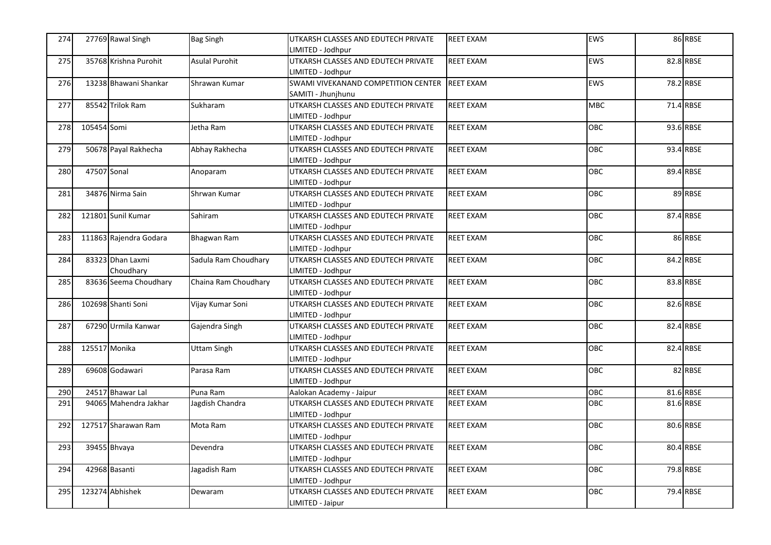| 274 |               | 27769 Rawal Singh      | <b>Bag Singh</b>      | UTKARSH CLASSES AND EDUTECH PRIVATE                      | <b>REET EXAM</b> | EWS        | 86 RBSE                |
|-----|---------------|------------------------|-----------------------|----------------------------------------------------------|------------------|------------|------------------------|
|     |               |                        |                       | LIMITED - Jodhpur                                        |                  |            |                        |
| 275 |               | 35768 Krishna Purohit  | <b>Asulal Purohit</b> | UTKARSH CLASSES AND EDUTECH PRIVATE                      | <b>REET EXAM</b> | <b>EWS</b> | 82.8 RBSE              |
|     |               |                        |                       | LIMITED - Jodhpur                                        |                  |            |                        |
| 276 |               | 13238 Bhawani Shankar  | Shrawan Kumar         | SWAMI VIVEKANAND COMPETITION CENTER                      | <b>REET EXAM</b> | <b>EWS</b> | 78.2 RBSE              |
|     |               |                        |                       | SAMITI - Jhunjhunu                                       |                  |            |                        |
| 277 |               | 85542 Trilok Ram       | Sukharam              | UTKARSH CLASSES AND EDUTECH PRIVATE                      | <b>REET EXAM</b> | <b>MBC</b> | 71.4 RBSE              |
|     |               |                        |                       | LIMITED - Jodhpur                                        |                  |            |                        |
| 278 | 105454 Somi   |                        | Jetha Ram             | UTKARSH CLASSES AND EDUTECH PRIVATE                      | <b>REET EXAM</b> | OBC        | 93.6 RBSE              |
|     |               |                        |                       | LIMITED - Jodhpur                                        |                  |            |                        |
| 279 |               | 50678 Payal Rakhecha   | Abhay Rakhecha        | UTKARSH CLASSES AND EDUTECH PRIVATE                      | <b>REET EXAM</b> | OBC        | 93.4 RBSE              |
|     |               |                        |                       | LIMITED - Jodhpur                                        |                  |            |                        |
| 280 | 47507 Sonal   |                        | Anoparam              | UTKARSH CLASSES AND EDUTECH PRIVATE                      | <b>REET EXAM</b> | <b>OBC</b> | 89.4 RBSE              |
|     |               |                        |                       | LIMITED - Jodhpur                                        |                  |            |                        |
| 281 |               | 34876 Nirma Sain       | Shrwan Kumar          | UTKARSH CLASSES AND EDUTECH PRIVATE                      | <b>REET EXAM</b> | <b>OBC</b> | 89 RBSE                |
|     |               |                        |                       | LIMITED - Jodhpur                                        |                  |            |                        |
| 282 |               | 121801 Sunil Kumar     | Sahiram               | UTKARSH CLASSES AND EDUTECH PRIVATE                      | <b>REET EXAM</b> | OBC        | 87.4 RBSE              |
|     |               |                        |                       | LIMITED - Jodhpur                                        |                  |            |                        |
| 283 |               | 111863 Rajendra Godara | Bhagwan Ram           | UTKARSH CLASSES AND EDUTECH PRIVATE                      | REET EXAM        | OBC        | 86 RBSE                |
|     |               |                        |                       | LIMITED - Jodhpur                                        |                  |            |                        |
| 284 |               | 83323 Dhan Laxmi       | Sadula Ram Choudhary  | UTKARSH CLASSES AND EDUTECH PRIVATE                      | <b>REET EXAM</b> | <b>OBC</b> | 84.2 RBSE              |
|     |               | Choudhary              |                       | LIMITED - Jodhpur                                        |                  |            |                        |
| 285 |               | 83636 Seema Choudhary  | Chaina Ram Choudhary  | UTKARSH CLASSES AND EDUTECH PRIVATE                      | REET EXAM        | <b>OBC</b> | 83.8 RBSE              |
|     |               |                        |                       | LIMITED - Jodhpur                                        |                  |            |                        |
| 286 |               | 102698 Shanti Soni     | Vijay Kumar Soni      | UTKARSH CLASSES AND EDUTECH PRIVATE                      | <b>REET EXAM</b> | <b>OBC</b> | 82.6 RBSE              |
|     |               |                        |                       | LIMITED - Jodhpur                                        |                  |            |                        |
| 287 |               | 67290 Urmila Kanwar    | Gajendra Singh        | UTKARSH CLASSES AND EDUTECH PRIVATE                      | <b>REET EXAM</b> | OBC        | 82.4 RBSE              |
|     |               |                        |                       | LIMITED - Jodhpur                                        |                  |            |                        |
| 288 | 125517 Monika |                        | <b>Uttam Singh</b>    | UTKARSH CLASSES AND EDUTECH PRIVATE                      | <b>REET EXAM</b> | OBC        | 82.4 RBSE              |
|     |               |                        |                       | LIMITED - Jodhpur                                        |                  | OBC        |                        |
| 289 |               | 69608 Godawari         | Parasa Ram            | UTKARSH CLASSES AND EDUTECH PRIVATE                      | <b>REET EXAM</b> |            | 82 RBSE                |
|     |               |                        |                       | LIMITED - Jodhpur                                        |                  |            |                        |
| 290 |               | 24517 Bhawar Lal       | Puna Ram              | Aalokan Academy - Jaipur                                 | <b>REET EXAM</b> | OBC        | 81.6 RBSE<br>81.6 RBSE |
| 291 |               | 94065 Mahendra Jakhar  | Jagdish Chandra       | UTKARSH CLASSES AND EDUTECH PRIVATE                      | <b>REET EXAM</b> | OBC        |                        |
| 292 |               | 127517 Sharawan Ram    | Mota Ram              | LIMITED - Jodhpur<br>UTKARSH CLASSES AND EDUTECH PRIVATE | <b>REET EXAM</b> | <b>OBC</b> | 80.6 RBSE              |
|     |               |                        |                       | LIMITED - Jodhpur                                        |                  |            |                        |
|     |               |                        |                       |                                                          |                  | OBC        | 80.4 RBSE              |
| 293 |               | 39455 Bhvaya           | Devendra              | UTKARSH CLASSES AND EDUTECH PRIVATE<br>LIMITED - Jodhpur | REET EXAM        |            |                        |
| 294 |               | 42968 Basanti          | Jagadish Ram          | UTKARSH CLASSES AND EDUTECH PRIVATE                      | <b>REET EXAM</b> | OBC        | 79.8 RBSE              |
|     |               |                        |                       | LIMITED - Jodhpur                                        |                  |            |                        |
| 295 |               | 123274 Abhishek        | Dewaram               | UTKARSH CLASSES AND EDUTECH PRIVATE                      | <b>REET EXAM</b> | <b>OBC</b> | 79.4 RBSE              |
|     |               |                        |                       | LIMITED - Jaipur                                         |                  |            |                        |
|     |               |                        |                       |                                                          |                  |            |                        |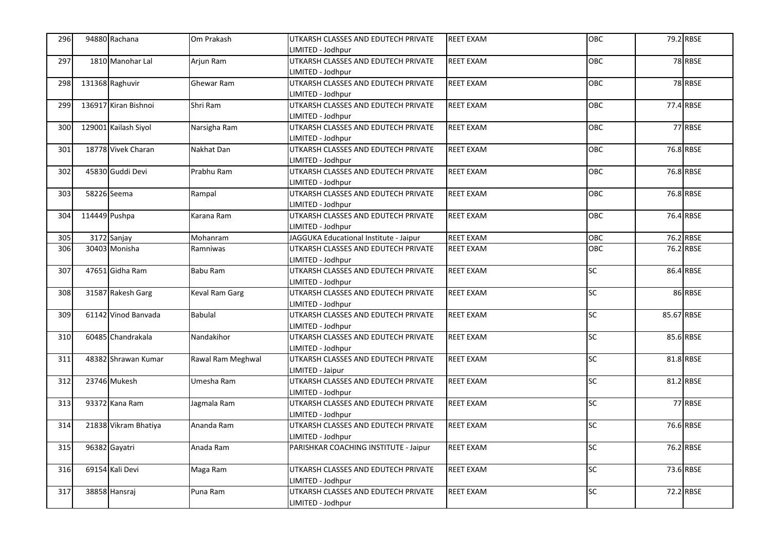| 296 |               | 94880 Rachana        | Om Prakash        | UTKARSH CLASSES AND EDUTECH PRIVATE                      | <b>REET EXAM</b> | OBC             |            | 79.2 RBSE |
|-----|---------------|----------------------|-------------------|----------------------------------------------------------|------------------|-----------------|------------|-----------|
|     |               |                      |                   | LIMITED - Jodhpur                                        |                  |                 |            |           |
| 297 |               | 1810 Manohar Lal     | Arjun Ram         | UTKARSH CLASSES AND EDUTECH PRIVATE                      | <b>REET EXAM</b> | OBC             |            | 78 RBSE   |
|     |               |                      |                   | LIMITED - Jodhpur                                        |                  |                 |            |           |
| 298 |               | 131368 Raghuvir      | Ghewar Ram        | UTKARSH CLASSES AND EDUTECH PRIVATE                      | <b>REET EXAM</b> | OBC             |            | 78 RBSE   |
|     |               |                      |                   | LIMITED - Jodhpur                                        |                  |                 |            |           |
| 299 |               | 136917 Kiran Bishnoi | Shri Ram          | UTKARSH CLASSES AND EDUTECH PRIVATE                      | <b>REET EXAM</b> | <b>OBC</b>      |            | 77.4 RBSE |
|     |               |                      |                   | LIMITED - Jodhpur                                        |                  |                 |            |           |
| 300 |               | 129001 Kailash Siyol | Narsigha Ram      | UTKARSH CLASSES AND EDUTECH PRIVATE                      | <b>REET EXAM</b> | OBC             |            | 77 RBSE   |
|     |               |                      |                   | LIMITED - Jodhpur                                        |                  |                 |            |           |
| 301 |               | 18778 Vivek Charan   | Nakhat Dan        | UTKARSH CLASSES AND EDUTECH PRIVATE                      | <b>REET EXAM</b> | OBC             |            | 76.8 RBSE |
|     |               |                      |                   | LIMITED - Jodhpur                                        |                  |                 |            |           |
| 302 |               | 45830 Guddi Devi     | Prabhu Ram        | UTKARSH CLASSES AND EDUTECH PRIVATE                      | <b>REET EXAM</b> | <b>OBC</b>      |            | 76.8 RBSE |
|     |               |                      |                   | LIMITED - Jodhpur                                        |                  |                 |            |           |
| 303 |               | 58226 Seema          | Rampal            | UTKARSH CLASSES AND EDUTECH PRIVATE                      | <b>REET EXAM</b> | <b>OBC</b>      |            | 76.8 RBSE |
|     |               |                      |                   | LIMITED - Jodhpur                                        |                  |                 |            |           |
| 304 | 114449 Pushpa |                      | Karana Ram        | UTKARSH CLASSES AND EDUTECH PRIVATE                      | <b>REET EXAM</b> | OBC             |            | 76.4 RBSE |
|     |               |                      |                   | LIMITED - Jodhpur                                        |                  |                 |            |           |
| 305 |               | 3172 Sanjay          | Mohanram          | JAGGUKA Educational Institute - Jaipur                   | <b>REET EXAM</b> | OBC             |            | 76.2 RBSE |
| 306 |               | 30403 Monisha        | Ramniwas          | UTKARSH CLASSES AND EDUTECH PRIVATE                      | <b>REET EXAM</b> | OBC             |            | 76.2 RBSE |
|     |               |                      |                   | LIMITED - Jodhpur                                        |                  |                 |            |           |
| 307 |               | 47651 Gidha Ram      | Babu Ram          | UTKARSH CLASSES AND EDUTECH PRIVATE                      | <b>REET EXAM</b> | SC              |            | 86.4 RBSE |
|     |               |                      |                   | LIMITED - Jodhpur                                        |                  |                 |            |           |
| 308 |               | 31587 Rakesh Garg    | Keval Ram Garg    | UTKARSH CLASSES AND EDUTECH PRIVATE                      | <b>REET EXAM</b> | $\overline{SC}$ |            | 86 RBSE   |
|     |               |                      |                   | LIMITED - Jodhpur                                        |                  |                 |            |           |
| 309 |               | 61142 Vinod Banvada  | <b>Babulal</b>    | UTKARSH CLASSES AND EDUTECH PRIVATE                      | REET EXAM        | SC              | 85.67 RBSE |           |
|     |               |                      |                   | LIMITED - Jodhpur                                        |                  |                 |            |           |
| 310 |               | 60485 Chandrakala    | Nandakihor        | UTKARSH CLASSES AND EDUTECH PRIVATE                      | <b>REET EXAM</b> | SC              |            | 85.6 RBSE |
|     |               |                      |                   | LIMITED - Jodhpur                                        |                  |                 |            |           |
| 311 |               | 48382 Shrawan Kumar  | Rawal Ram Meghwal | UTKARSH CLASSES AND EDUTECH PRIVATE                      | <b>REET EXAM</b> | SC              |            | 81.8 RBSE |
|     |               |                      |                   | LIMITED - Jaipur                                         |                  |                 |            |           |
| 312 |               | 23746 Mukesh         | Umesha Ram        | UTKARSH CLASSES AND EDUTECH PRIVATE                      | <b>REET EXAM</b> | <b>SC</b>       |            | 81.2 RBSE |
|     |               |                      |                   | LIMITED - Jodhpur                                        |                  |                 |            |           |
| 313 |               | 93372 Kana Ram       | Jagmala Ram       | UTKARSH CLASSES AND EDUTECH PRIVATE                      | REET EXAM        | SC              |            | 77 RBSE   |
|     |               |                      |                   | LIMITED - Jodhpur                                        |                  | SC              |            | 76.6 RBSE |
| 314 |               | 21838 Vikram Bhatiya | Ananda Ram        | UTKARSH CLASSES AND EDUTECH PRIVATE                      | <b>REET EXAM</b> |                 |            |           |
|     |               |                      |                   | LIMITED - Jodhpur                                        |                  | SC              |            | 76.2 RBSE |
| 315 |               | 96382 Gayatri        | Anada Ram         | PARISHKAR COACHING INSTITUTE - Jaipur                    | REET EXAM        |                 |            |           |
| 316 |               | 69154 Kali Devi      |                   | UTKARSH CLASSES AND EDUTECH PRIVATE                      | <b>REET EXAM</b> | SC              |            | 73.6 RBSE |
|     |               |                      | Maga Ram          | LIMITED - Jodhpur                                        |                  |                 |            |           |
|     |               | 38858 Hansraj        |                   |                                                          | <b>REET EXAM</b> | SC              |            | 72.2 RBSE |
| 317 |               |                      | Puna Ram          | UTKARSH CLASSES AND EDUTECH PRIVATE<br>LIMITED - Jodhpur |                  |                 |            |           |
|     |               |                      |                   |                                                          |                  |                 |            |           |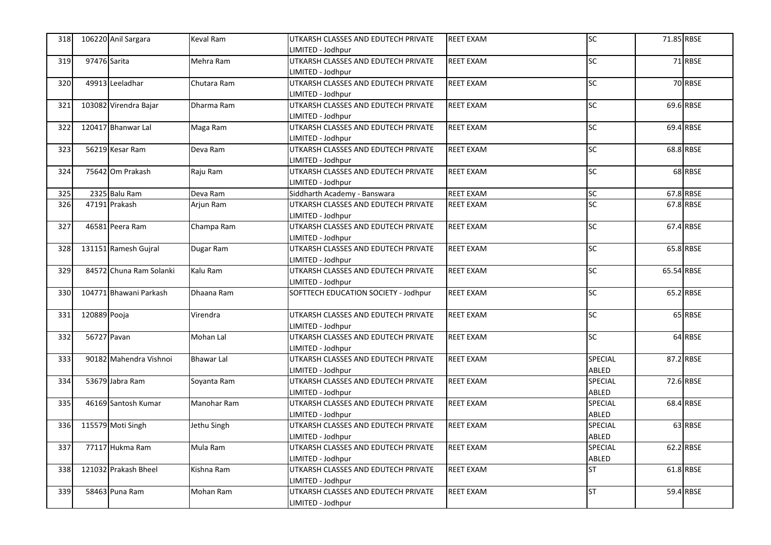| 318        |              | 106220 Anil Sargara     | <b>Keval Ram</b>  | UTKARSH CLASSES AND EDUTECH PRIVATE  | <b>REET EXAM</b> | <b>SC</b>          | 71.85 RBSE |           |
|------------|--------------|-------------------------|-------------------|--------------------------------------|------------------|--------------------|------------|-----------|
|            |              |                         |                   | LIMITED - Jodhpur                    |                  |                    |            |           |
| 319        | 97476 Sarita |                         | Mehra Ram         | UTKARSH CLASSES AND EDUTECH PRIVATE  | <b>REET EXAM</b> | SC                 |            | 71 RBSE   |
|            |              |                         |                   | LIMITED - Jodhpur                    |                  |                    |            |           |
| 320        |              | 49913 Leeladhar         | Chutara Ram       | UTKARSH CLASSES AND EDUTECH PRIVATE  | <b>REET EXAM</b> | SC                 |            | 70 RBSE   |
|            |              |                         |                   | LIMITED - Jodhpur                    |                  |                    |            |           |
| 321        |              | 103082 Virendra Bajar   | Dharma Ram        | UTKARSH CLASSES AND EDUTECH PRIVATE  | <b>REET EXAM</b> | SC                 |            | 69.6 RBSE |
|            |              |                         |                   | LIMITED - Jodhpur                    |                  |                    |            |           |
| 322        |              | 120417 Bhanwar Lal      | Maga Ram          | UTKARSH CLASSES AND EDUTECH PRIVATE  | <b>REET EXAM</b> | $\overline{SC}$    |            | 69.4 RBSE |
|            |              |                         |                   | LIMITED - Jodhpur                    |                  |                    |            |           |
| 323        |              | 56219 Kesar Ram         | Deva Ram          | UTKARSH CLASSES AND EDUTECH PRIVATE  | <b>REET EXAM</b> | $\overline{SC}$    |            | 68.8 RBSE |
|            |              |                         |                   | LIMITED - Jodhpur                    |                  |                    |            |           |
| 324        |              | 75642 Om Prakash        | Raju Ram          | UTKARSH CLASSES AND EDUTECH PRIVATE  | <b>REET EXAM</b> | SC                 |            | 68 RBSE   |
|            |              |                         |                   | LIMITED - Jodhpur                    |                  |                    |            |           |
| 325        |              | 2325 Balu Ram           | Deva Ram          | Siddharth Academy - Banswara         | <b>REET EXAM</b> | <b>SC</b>          |            | 67.8 RBSE |
| 326        |              | 47191 Prakash           | Arjun Ram         | UTKARSH CLASSES AND EDUTECH PRIVATE  | <b>REET EXAM</b> | SC                 |            | 67.8 RBSE |
|            |              |                         |                   | LIMITED - Jodhpur                    |                  |                    |            |           |
| 327        |              | 46581 Peera Ram         | Champa Ram        | UTKARSH CLASSES AND EDUTECH PRIVATE  | REET EXAM        | SC                 |            | 67.4 RBSE |
|            |              |                         |                   | LIMITED - Jodhpur                    |                  |                    |            |           |
| 328        |              | 131151 Ramesh Gujral    | Dugar Ram         | UTKARSH CLASSES AND EDUTECH PRIVATE  | <b>REET EXAM</b> | $\overline{SC}$    |            | 65.8 RBSE |
|            |              |                         |                   | LIMITED - Jodhpur                    |                  |                    |            |           |
| 329        |              | 84572 Chuna Ram Solanki | Kalu Ram          | UTKARSH CLASSES AND EDUTECH PRIVATE  | <b>REET EXAM</b> | SC                 | 65.54 RBSE |           |
|            |              |                         |                   | LIMITED - Jodhpur                    |                  |                    |            |           |
| 330        |              | 104771 Bhawani Parkash  | Dhaana Ram        | SOFTTECH EDUCATION SOCIETY - Jodhpur | <b>REET EXAM</b> | $\overline{SC}$    |            | 65.2 RBSE |
|            |              |                         |                   |                                      |                  |                    |            |           |
| 331        | 120889 Pooja |                         | Virendra          | UTKARSH CLASSES AND EDUTECH PRIVATE  | <b>REET EXAM</b> | <b>SC</b>          |            | 65 RBSE   |
|            |              |                         |                   | LIMITED - Jodhpur                    |                  |                    |            |           |
| 332        | 56727 Pavan  |                         | Mohan Lal         | UTKARSH CLASSES AND EDUTECH PRIVATE  | <b>REET EXAM</b> | SC                 |            | 64 RBSE   |
|            |              |                         |                   | LIMITED - Jodhpur                    |                  |                    |            |           |
| 333        |              | 90182 Mahendra Vishnoi  | <b>Bhawar Lal</b> | UTKARSH CLASSES AND EDUTECH PRIVATE  | <b>REET EXAM</b> | SPECIAL            |            | 87.2 RBSE |
|            |              |                         |                   | LIMITED - Jodhpur                    |                  | ABLED              |            |           |
| 334        |              | 53679 Jabra Ram         | Soyanta Ram       | UTKARSH CLASSES AND EDUTECH PRIVATE  | <b>REET EXAM</b> | SPECIAL            |            | 72.6 RBSE |
|            |              |                         |                   | LIMITED - Jodhpur                    |                  | ABLED              |            |           |
| 335        |              | 46169 Santosh Kumar     | Manohar Ram       | UTKARSH CLASSES AND EDUTECH PRIVATE  | REET EXAM        | SPECIAL            |            | 68.4 RBSE |
|            |              |                         |                   | LIMITED - Jodhpur                    |                  | ABLED              |            | 63 RBSE   |
| <b>336</b> |              | 115579 Moti Singh       | Jethu Singh       | UTKARSH CLASSES AND EDUTECH PRIVATE  | REET EXAM        | SPECIAL            |            |           |
|            |              |                         |                   | LIMITED - Jodhpur                    |                  | ABLED              |            | 62.2 RBSE |
| 337        |              | 77117 Hukma Ram         | Mula Ram          | UTKARSH CLASSES AND EDUTECH PRIVATE  | REET EXAM        | SPECIAL            |            |           |
|            |              |                         |                   | LIMITED - Jodhpur                    |                  | ABLED<br><b>ST</b> |            | 61.8 RBSE |
| 338        |              | 121032 Prakash Bheel    | Kishna Ram        | UTKARSH CLASSES AND EDUTECH PRIVATE  | <b>REET EXAM</b> |                    |            |           |
|            |              |                         |                   | LIMITED - Jodhpur                    |                  | ГS                 |            | 59.4 RBSE |
| 339        |              | 58463 Puna Ram          | Mohan Ram         | UTKARSH CLASSES AND EDUTECH PRIVATE  | <b>REET EXAM</b> |                    |            |           |
|            |              |                         |                   | LIMITED - Jodhpur                    |                  |                    |            |           |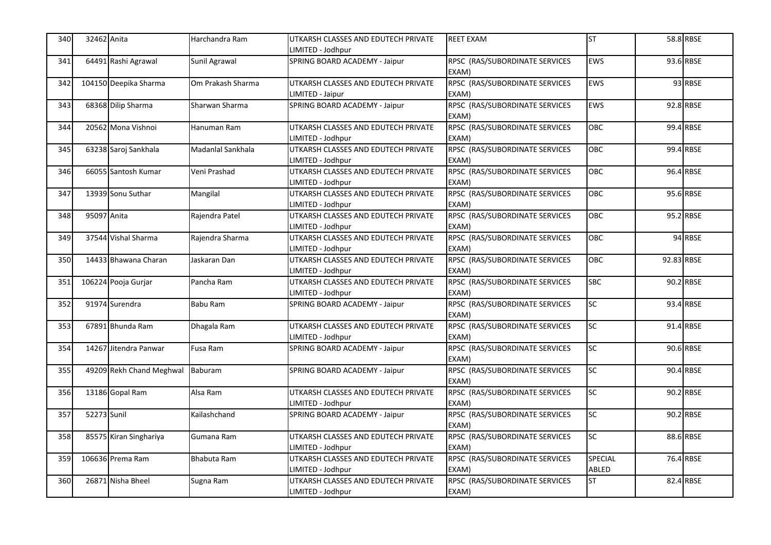| 340 | 32462 Anita |                          | Harchandra Ram    | UTKARSH CLASSES AND EDUTECH PRIVATE | <b>REET EXAM</b>                        | <b>ST</b>       |            | 58.8 RBSE |
|-----|-------------|--------------------------|-------------------|-------------------------------------|-----------------------------------------|-----------------|------------|-----------|
|     |             |                          |                   | IMITED - Jodhpur                    |                                         |                 |            |           |
| 341 |             | 64491 Rashi Agrawal      | Sunil Agrawal     | SPRING BOARD ACADEMY - Jaipur       | RPSC (RAS/SUBORDINATE SERVICES<br>EXAM) | <b>EWS</b>      |            | 93.6 RBSE |
| 342 |             | 104150 Deepika Sharma    | Om Prakash Sharma | UTKARSH CLASSES AND EDUTECH PRIVATE | RPSC (RAS/SUBORDINATE SERVICES          | <b>EWS</b>      |            | 93 RBSE   |
|     |             |                          |                   | LIMITED - Jaipur                    | EXAM)                                   |                 |            |           |
| 343 |             | 68368 Dilip Sharma       | Sharwan Sharma    | SPRING BOARD ACADEMY - Jaipur       | RPSC (RAS/SUBORDINATE SERVICES          | EWS             |            | 92.8 RBSE |
|     |             |                          |                   |                                     | EXAM)                                   |                 |            |           |
| 344 |             | 20562 Mona Vishnoi       | Hanuman Ram       | UTKARSH CLASSES AND EDUTECH PRIVATE | RPSC (RAS/SUBORDINATE SERVICES          | OBC             |            | 99.4 RBSE |
|     |             |                          |                   | LIMITED - Jodhpur                   | EXAM)                                   |                 |            |           |
| 345 |             | 63238 Saroj Sankhala     | Madanlal Sankhala | UTKARSH CLASSES AND EDUTECH PRIVATE | RPSC (RAS/SUBORDINATE SERVICES          | OBC             |            | 99.4 RBSE |
|     |             |                          |                   | LIMITED - Jodhpur                   | EXAM)                                   |                 |            |           |
| 346 |             | 66055 Santosh Kumar      | Veni Prashad      | UTKARSH CLASSES AND EDUTECH PRIVATE | RPSC (RAS/SUBORDINATE SERVICES          | OBC             |            | 96.4 RBSE |
|     |             |                          |                   | IMITED - Jodhpur                    | EXAM)                                   |                 |            |           |
| 347 |             | 13939 Sonu Suthar        | Mangilal          | UTKARSH CLASSES AND EDUTECH PRIVATE | RPSC (RAS/SUBORDINATE SERVICES          | OBC             |            | 95.6 RBSE |
|     |             |                          |                   | IMITED - Jodhpur                    | EXAM)                                   |                 |            |           |
| 348 | 95097 Anita |                          | Rajendra Patel    | UTKARSH CLASSES AND EDUTECH PRIVATE | RPSC (RAS/SUBORDINATE SERVICES          | OBC             |            | 95.2 RBSE |
|     |             |                          |                   | IMITED - Jodhpur                    | EXAM)                                   |                 |            |           |
| 349 |             | 37544 Vishal Sharma      | Rajendra Sharma   | UTKARSH CLASSES AND EDUTECH PRIVATE | RPSC (RAS/SUBORDINATE SERVICES          | OBC             |            | 94 RBSE   |
|     |             |                          |                   | IMITED - Jodhpur                    | EXAM)                                   |                 |            |           |
| 350 |             | 14433 Bhawana Charan     | Jaskaran Dan      | UTKARSH CLASSES AND EDUTECH PRIVATE | RPSC (RAS/SUBORDINATE SERVICES          | OBC             | 92.83 RBSE |           |
|     |             |                          |                   | LIMITED - Jodhpur                   | EXAM)                                   |                 |            |           |
| 351 |             | 106224 Pooja Gurjar      | Pancha Ram        | UTKARSH CLASSES AND EDUTECH PRIVATE | RPSC (RAS/SUBORDINATE SERVICES          | <b>SBC</b>      |            | 90.2 RBSE |
|     |             |                          |                   | LIMITED - Jodhpur                   | EXAM)                                   |                 |            |           |
| 352 |             | 91974 Surendra           | Babu Ram          | SPRING BOARD ACADEMY - Jaipur       | RPSC (RAS/SUBORDINATE SERVICES          | $\overline{SC}$ |            | 93.4 RBSE |
|     |             |                          |                   |                                     | EXAM)                                   |                 |            |           |
| 353 |             | 67891 Bhunda Ram         | Dhagala Ram       | UTKARSH CLASSES AND EDUTECH PRIVATE | RPSC (RAS/SUBORDINATE SERVICES          | <b>SC</b>       |            | 91.4 RBSE |
|     |             |                          |                   | LIMITED - Jodhpur                   | EXAM)                                   |                 |            |           |
| 354 |             | 14267 Jitendra Panwar    | Fusa Ram          | SPRING BOARD ACADEMY - Jaipur       | RPSC (RAS/SUBORDINATE SERVICES          | <b>SC</b>       |            | 90.6 RBSE |
|     |             |                          |                   |                                     | EXAM)                                   |                 |            |           |
| 355 |             | 49209 Rekh Chand Meghwal | Baburam           | SPRING BOARD ACADEMY - Jaipur       | RPSC (RAS/SUBORDINATE SERVICES          | SC              |            | 90.4 RBSE |
|     |             |                          |                   |                                     | EXAM)                                   |                 |            |           |
| 356 |             | 13186 Gopal Ram          | Alsa Ram          | UTKARSH CLASSES AND EDUTECH PRIVATE | RPSC (RAS/SUBORDINATE SERVICES          | <b>SC</b>       |            | 90.2 RBSE |
|     |             |                          |                   | LIMITED - Jodhpur                   | EXAM)                                   |                 |            |           |
| 357 | 52273 Sunil |                          | Kailashchand      | SPRING BOARD ACADEMY - Jaipur       | RPSC (RAS/SUBORDINATE SERVICES          | SC              |            | 90.2 RBSE |
|     |             |                          |                   |                                     | EXAM)                                   |                 |            |           |
| 358 |             | 85575 Kiran Singhariya   | Gumana Ram        | UTKARSH CLASSES AND EDUTECH PRIVATE | RPSC (RAS/SUBORDINATE SERVICES          | <b>SC</b>       |            | 88.6 RBSE |
|     |             |                          |                   | IMITED - Jodhpur                    | EXAM)                                   |                 |            |           |
| 359 |             | 106636 Prema Ram         | Bhabuta Ram       | UTKARSH CLASSES AND EDUTECH PRIVATE | RPSC (RAS/SUBORDINATE SERVICES          | SPECIAL         |            | 76.4 RBSE |
|     |             |                          |                   | LIMITED - Jodhpur                   | EXAM)                                   | ABLED           |            |           |
| 360 |             | 26871 Nisha Bheel        | Sugna Ram         | UTKARSH CLASSES AND EDUTECH PRIVATE | RPSC (RAS/SUBORDINATE SERVICES          | <b>ST</b>       |            | 82.4 RBSE |
|     |             |                          |                   | LIMITED - Jodhpur                   | EXAM)                                   |                 |            |           |
|     |             |                          |                   |                                     |                                         |                 |            |           |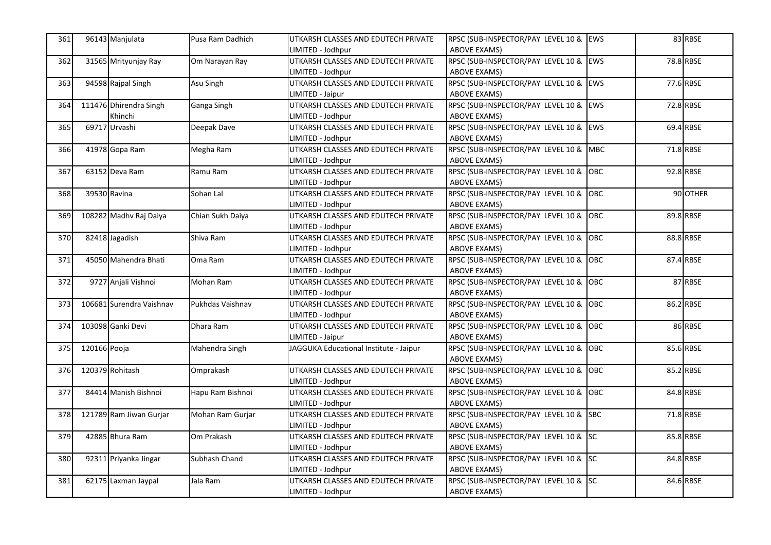| 361 |              | 96143 Manjulata          | Pusa Ram Dadhich | UTKARSH CLASSES AND EDUTECH PRIVATE    | RPSC (SUB-INSPECTOR/PAY LEVEL 10 & EWS |            | 83 RBSE   |
|-----|--------------|--------------------------|------------------|----------------------------------------|----------------------------------------|------------|-----------|
|     |              |                          |                  | IMITED - Jodhpur                       | <b>ABOVE EXAMS)</b>                    |            |           |
| 362 |              | 31565 Mrityunjay Ray     | Om Narayan Ray   | UTKARSH CLASSES AND EDUTECH PRIVATE    | RPSC (SUB-INSPECTOR/PAY LEVEL 10 &     | EWS        | 78.8 RBSE |
|     |              |                          |                  | LIMITED - Jodhpur                      | <b>ABOVE EXAMS)</b>                    |            |           |
| 363 |              | 94598 Rajpal Singh       | Asu Singh        | UTKARSH CLASSES AND EDUTECH PRIVATE    | RPSC (SUB-INSPECTOR/PAY LEVEL 10 &     | <b>EWS</b> | 77.6 RBSE |
|     |              |                          |                  | LIMITED - Jaipur                       | <b>ABOVE EXAMS)</b>                    |            |           |
| 364 |              | 111476 Dhirendra Singh   | Ganga Singh      | UTKARSH CLASSES AND EDUTECH PRIVATE    | RPSC (SUB-INSPECTOR/PAY LEVEL 10 &     | EWS        | 72.8 RBSE |
|     |              | Khinchi                  |                  | LIMITED - Jodhpur                      | <b>ABOVE EXAMS)</b>                    |            |           |
| 365 |              | 69717 Urvashi            | Deepak Dave      | UTKARSH CLASSES AND EDUTECH PRIVATE    | RPSC (SUB-INSPECTOR/PAY LEVEL 10 &     | <b>EWS</b> | 69.4 RBSE |
|     |              |                          |                  | LIMITED - Jodhpur                      | <b>ABOVE EXAMS)</b>                    |            |           |
| 366 |              | 41978 Gopa Ram           | Megha Ram        | UTKARSH CLASSES AND EDUTECH PRIVATE    | RPSC (SUB-INSPECTOR/PAY LEVEL 10 & MBC |            | 71.8 RBSE |
|     |              |                          |                  | LIMITED - Jodhpur                      | <b>ABOVE EXAMS)</b>                    |            |           |
| 367 |              | 63152 Deva Ram           | Ramu Ram         | UTKARSH CLASSES AND EDUTECH PRIVATE    | RPSC (SUB-INSPECTOR/PAY LEVEL 10 &     | OBC        | 92.8 RBSE |
|     |              |                          |                  | LIMITED - Jodhpur                      | <b>ABOVE EXAMS)</b>                    |            |           |
| 368 |              | 39530 Ravina             | Sohan Lal        | UTKARSH CLASSES AND EDUTECH PRIVATE    | RPSC (SUB-INSPECTOR/PAY LEVEL 10 &     | <b>OBC</b> | 90 OTHER  |
|     |              |                          |                  | IMITED - Jodhpur                       | <b>ABOVE EXAMS)</b>                    |            |           |
| 369 |              | 108282 Madhy Raj Daiya   | Chian Sukh Daiya | UTKARSH CLASSES AND EDUTECH PRIVATE    | RPSC (SUB-INSPECTOR/PAY LEVEL 10 &     | OBC        | 89.8 RBSE |
|     |              |                          |                  | LIMITED - Jodhpur                      | <b>ABOVE EXAMS)</b>                    |            |           |
| 370 |              | 82418 Jagadish           | Shiva Ram        | UTKARSH CLASSES AND EDUTECH PRIVATE    | RPSC (SUB-INSPECTOR/PAY LEVEL 10 &     | OBC        | 88.8 RBSE |
|     |              |                          |                  | LIMITED - Jodhpur                      | ABOVE EXAMS)                           |            |           |
| 371 |              | 45050 Mahendra Bhati     | Oma Ram          | UTKARSH CLASSES AND EDUTECH PRIVATE    | RPSC (SUB-INSPECTOR/PAY LEVEL 10 &     | OBC        | 87.4 RBSE |
|     |              |                          |                  | LIMITED - Jodhpur                      | <b>ABOVE EXAMS)</b>                    |            |           |
| 372 |              | 9727 Anjali Vishnoi      | Mohan Ram        | UTKARSH CLASSES AND EDUTECH PRIVATE    | RPSC (SUB-INSPECTOR/PAY LEVEL 10 &     | OBC        | 87 RBSE   |
|     |              |                          |                  | LIMITED - Jodhpur                      | ABOVE EXAMS)                           |            |           |
| 373 |              | 106681 Surendra Vaishnav | Pukhdas Vaishnav | UTKARSH CLASSES AND EDUTECH PRIVATE    | RPSC (SUB-INSPECTOR/PAY LEVEL 10 &     | OBC        | 86.2 RBSE |
|     |              |                          |                  | LIMITED - Jodhpur                      | <b>ABOVE EXAMS)</b>                    |            |           |
| 374 |              | 103098 Ganki Devi        | Dhara Ram        | UTKARSH CLASSES AND EDUTECH PRIVATE    | RPSC (SUB-INSPECTOR/PAY LEVEL 10 &     | OBC        | 86 RBSE   |
|     |              |                          |                  | LIMITED - Jaipur                       | <b>ABOVE EXAMS)</b>                    |            |           |
| 375 | 120166 Pooja |                          | Mahendra Singh   | JAGGUKA Educational Institute - Jaipur | RPSC (SUB-INSPECTOR/PAY LEVEL 10 &     | OBC        | 85.6 RBSE |
|     |              |                          |                  |                                        | <b>ABOVE EXAMS)</b>                    |            |           |
| 376 |              | 120379 Rohitash          | Omprakash        | UTKARSH CLASSES AND EDUTECH PRIVATE    | RPSC (SUB-INSPECTOR/PAY LEVEL 10 &     | OBC        | 85.2 RBSE |
|     |              |                          |                  | LIMITED - Jodhpur                      | <b>ABOVE EXAMS)</b>                    |            |           |
| 377 |              | 84414 Manish Bishnoi     | Hapu Ram Bishnoi | UTKARSH CLASSES AND EDUTECH PRIVATE    | RPSC (SUB-INSPECTOR/PAY LEVEL 10 &     | OBC        | 84.8 RBSE |
|     |              |                          |                  | IMITED - Jodhpur                       | <b>ABOVE EXAMS)</b>                    |            |           |
| 378 |              | 121789 Ram Jiwan Gurjar  | Mohan Ram Gurjar | UTKARSH CLASSES AND EDUTECH PRIVATE    | RPSC (SUB-INSPECTOR/PAY LEVEL 10 & SBC |            | 71.8 RBSE |
|     |              |                          |                  | LIMITED - Jodhpur                      | <b>ABOVE EXAMS)</b>                    |            |           |
| 379 |              | 42885 Bhura Ram          | Om Prakash       | UTKARSH CLASSES AND EDUTECH PRIVATE    | RPSC (SUB-INSPECTOR/PAY LEVEL 10 & SC  |            | 85.8 RBSE |
|     |              |                          |                  | IMITED - Jodhpur                       | ABOVE EXAMS)                           |            |           |
| 380 |              | 92311 Priyanka Jingar    | Subhash Chand    | UTKARSH CLASSES AND EDUTECH PRIVATE    | RPSC (SUB-INSPECTOR/PAY LEVEL 10 & SC  |            | 84.8 RBSE |
|     |              |                          |                  | LIMITED - Jodhpur                      | ABOVE EXAMS)                           |            |           |
| 381 |              | 62175 Laxman Jaypal      | Jala Ram         | UTKARSH CLASSES AND EDUTECH PRIVATE    | RPSC (SUB-INSPECTOR/PAY LEVEL 10 & SC  |            | 84.6 RBSE |
|     |              |                          |                  | LIMITED - Jodhpur                      | <b>ABOVE EXAMS)</b>                    |            |           |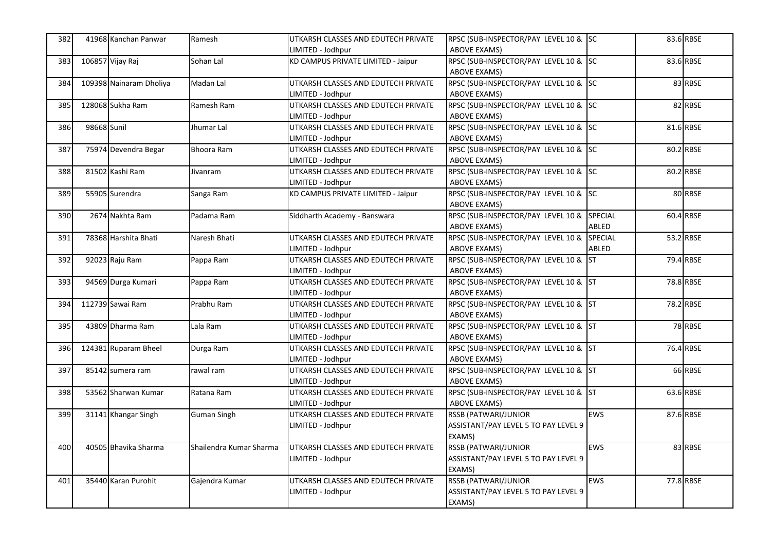| 382 |             | 41968 Kanchan Panwar    | Ramesh                  | UTKARSH CLASSES AND EDUTECH PRIVATE | RPSC (SUB-INSPECTOR/PAY LEVEL 10 & SC |                            | 83.6 RBSE |
|-----|-------------|-------------------------|-------------------------|-------------------------------------|---------------------------------------|----------------------------|-----------|
|     |             |                         |                         | IMITED - Jodhpur                    | <b>ABOVE EXAMS)</b>                   |                            |           |
| 383 |             | 106857 Vijay Raj        | Sohan Lal               | KD CAMPUS PRIVATE LIMITED - Jaipur  | RPSC (SUB-INSPECTOR/PAY LEVEL 10 & SC |                            | 83.6 RBSE |
|     |             |                         |                         |                                     | <b>ABOVE EXAMS)</b>                   |                            |           |
| 384 |             | 109398 Nainaram Dholiya | Madan Lal               | UTKARSH CLASSES AND EDUTECH PRIVATE | RPSC (SUB-INSPECTOR/PAY LEVEL 10 & SC |                            | 83 RBSE   |
|     |             |                         |                         | LIMITED - Jodhpur                   | <b>ABOVE EXAMS)</b>                   |                            |           |
| 385 |             | 128068 Sukha Ram        | Ramesh Ram              | UTKARSH CLASSES AND EDUTECH PRIVATE | RPSC (SUB-INSPECTOR/PAY LEVEL 10 & SC |                            | 82 RBSE   |
|     |             |                         |                         | LIMITED - Jodhpur                   | <b>ABOVE EXAMS)</b>                   |                            |           |
| 386 | 98668 Sunil |                         | Jhumar Lal              | UTKARSH CLASSES AND EDUTECH PRIVATE | RPSC (SUB-INSPECTOR/PAY LEVEL 10 & SC |                            | 81.6 RBSE |
|     |             |                         |                         | LIMITED - Jodhpur                   | <b>ABOVE EXAMS)</b>                   |                            |           |
| 387 |             | 75974 Devendra Begar    | <b>Bhoora Ram</b>       | UTKARSH CLASSES AND EDUTECH PRIVATE | RPSC (SUB-INSPECTOR/PAY LEVEL 10 & SC |                            | 80.2 RBSE |
|     |             |                         |                         | LIMITED - Jodhpur                   | <b>ABOVE EXAMS)</b>                   |                            |           |
| 388 |             | 81502 Kashi Ram         | Jivanram                | UTKARSH CLASSES AND EDUTECH PRIVATE | RPSC (SUB-INSPECTOR/PAY LEVEL 10 & SC |                            | 80.2 RBSE |
|     |             |                         |                         | LIMITED - Jodhpur                   | <b>ABOVE EXAMS)</b>                   |                            |           |
| 389 |             | 55905 Surendra          | Sanga Ram               | KD CAMPUS PRIVATE LIMITED - Jaipur  | RPSC (SUB-INSPECTOR/PAY LEVEL 10 & SC |                            | 80 RBSE   |
|     |             |                         |                         |                                     | ABOVE EXAMS)                          |                            |           |
| 390 |             | 2674 Nakhta Ram         | Padama Ram              | Siddharth Academy - Banswara        | RPSC (SUB-INSPECTOR/PAY LEVEL 10 &    | SPECIAL                    | 60.4 RBSE |
|     |             |                         |                         |                                     | <b>ABOVE EXAMS)</b>                   | ABLED                      |           |
| 391 |             | 78368 Harshita Bhati    | Naresh Bhati            | UTKARSH CLASSES AND EDUTECH PRIVATE | RPSC (SUB-INSPECTOR/PAY LEVEL 10 &    | SPECIAL                    | 53.2 RBSE |
|     |             |                         |                         | LIMITED - Jodhpur                   | ABOVE EXAMS)                          | ABLED                      |           |
| 392 |             | 92023 Raju Ram          | Pappa Ram               | UTKARSH CLASSES AND EDUTECH PRIVATE | RPSC (SUB-INSPECTOR/PAY LEVEL 10 &    | <b>I</b> ST                | 79.4 RBSE |
|     |             |                         |                         | LIMITED - Jodhpur                   | <b>ABOVE EXAMS)</b>                   |                            |           |
| 393 |             | 94569 Durga Kumari      | Pappa Ram               | UTKARSH CLASSES AND EDUTECH PRIVATE | RPSC (SUB-INSPECTOR/PAY LEVEL 10 & ST |                            | 78.8 RBSE |
|     |             |                         |                         | LIMITED - Jodhpur                   | ABOVE EXAMS)                          |                            |           |
| 394 |             | 112739 Sawai Ram        | Prabhu Ram              | UTKARSH CLASSES AND EDUTECH PRIVATE | RPSC (SUB-INSPECTOR/PAY LEVEL 10 & ST |                            | 78.2 RBSE |
|     |             |                         |                         | LIMITED - Jodhpur                   | <b>ABOVE EXAMS)</b>                   |                            |           |
| 395 |             | 43809 Dharma Ram        | Lala Ram                | UTKARSH CLASSES AND EDUTECH PRIVATE | RPSC (SUB-INSPECTOR/PAY LEVEL 10 & ST |                            | 78 RBSE   |
|     |             |                         |                         | LIMITED - Jodhpur                   | <b>ABOVE EXAMS)</b>                   |                            |           |
| 396 |             | 124381 Ruparam Bheel    | Durga Ram               | UTKARSH CLASSES AND EDUTECH PRIVATE | RPSC (SUB-INSPECTOR/PAY LEVEL 10 & ST |                            | 76.4 RBSE |
|     |             |                         |                         | LIMITED - Jodhpur                   | <b>ABOVE EXAMS)</b>                   |                            |           |
| 397 |             | 85142 sumera ram        | rawal ram               | UTKARSH CLASSES AND EDUTECH PRIVATE | RPSC (SUB-INSPECTOR/PAY LEVEL 10 & ST |                            | 66 RBSE   |
|     |             |                         |                         | LIMITED - Jodhpur                   | <b>ABOVE EXAMS)</b>                   |                            |           |
| 398 |             | 53562 Sharwan Kumar     | Ratana Ram              | UTKARSH CLASSES AND EDUTECH PRIVATE | RPSC (SUB-INSPECTOR/PAY LEVEL 10 &    | $\mathsf{I}$ <sub>ST</sub> | 63.6 RBSE |
|     |             |                         |                         | LIMITED - Jodhpur                   | <b>ABOVE EXAMS)</b>                   |                            |           |
| 399 |             | 31141 Khangar Singh     | Guman Singh             | UTKARSH CLASSES AND EDUTECH PRIVATE | RSSB (PATWARI/JUNIOR                  | EWS                        | 87.6 RBSE |
|     |             |                         |                         | LIMITED - Jodhpur                   | ASSISTANT/PAY LEVEL 5 TO PAY LEVEL 9  |                            |           |
|     |             |                         |                         |                                     | EXAMS)                                |                            |           |
| 400 |             | 40505 Bhavika Sharma    | Shailendra Kumar Sharma | UTKARSH CLASSES AND EDUTECH PRIVATE | RSSB (PATWARI/JUNIOR                  | <b>EWS</b>                 | 83 RBSE   |
|     |             |                         |                         | LIMITED - Jodhpur                   | ASSISTANT/PAY LEVEL 5 TO PAY LEVEL 9  |                            |           |
|     |             |                         |                         |                                     | EXAMS)                                |                            |           |
| 401 |             | 35440 Karan Purohit     | Gajendra Kumar          | UTKARSH CLASSES AND EDUTECH PRIVATE | <b>RSSB (PATWARI/JUNIOR</b>           | <b>EWS</b>                 | 77.8 RBSE |
|     |             |                         |                         | LIMITED - Jodhpur                   | ASSISTANT/PAY LEVEL 5 TO PAY LEVEL 9  |                            |           |
|     |             |                         |                         |                                     | EXAMS)                                |                            |           |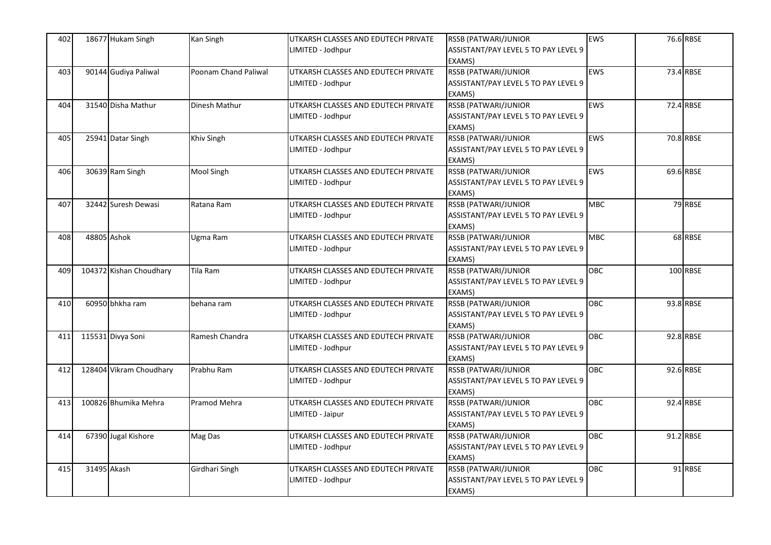| 402 | 18677 Hukam Singh       | Kan Singh            | UTKARSH CLASSES AND EDUTECH PRIVATE | RSSB (PATWARI/JUNIOR                 | <b>EWS</b> | 76.6 RBSE |
|-----|-------------------------|----------------------|-------------------------------------|--------------------------------------|------------|-----------|
|     |                         |                      | LIMITED - Jodhpur                   | ASSISTANT/PAY LEVEL 5 TO PAY LEVEL 9 |            |           |
|     |                         |                      |                                     | EXAMS)                               |            |           |
| 403 | 90144 Gudiya Paliwal    | Poonam Chand Paliwal | UTKARSH CLASSES AND EDUTECH PRIVATE | RSSB (PATWARI/JUNIOR                 | <b>EWS</b> | 73.4 RBSE |
|     |                         |                      | LIMITED - Jodhpur                   | ASSISTANT/PAY LEVEL 5 TO PAY LEVEL 9 |            |           |
|     |                         |                      |                                     | EXAMS)                               |            |           |
| 404 | 31540 Disha Mathur      | Dinesh Mathur        | UTKARSH CLASSES AND EDUTECH PRIVATE | <b>RSSB (PATWARI/JUNIOR</b>          | <b>EWS</b> | 72.4 RBSE |
|     |                         |                      | LIMITED - Jodhpur                   | ASSISTANT/PAY LEVEL 5 TO PAY LEVEL 9 |            |           |
|     |                         |                      |                                     | EXAMS)                               |            |           |
| 405 | 25941 Datar Singh       | Khiv Singh           | UTKARSH CLASSES AND EDUTECH PRIVATE | <b>RSSB (PATWARI/JUNIOR</b>          | <b>EWS</b> | 70.8 RBSE |
|     |                         |                      | LIMITED - Jodhpur                   | ASSISTANT/PAY LEVEL 5 TO PAY LEVEL 9 |            |           |
|     |                         |                      |                                     | EXAMS)                               |            |           |
| 406 | 30639 Ram Singh         | Mool Singh           | UTKARSH CLASSES AND EDUTECH PRIVATE | RSSB (PATWARI/JUNIOR                 | <b>EWS</b> | 69.6 RBSE |
|     |                         |                      | LIMITED - Jodhpur                   | ASSISTANT/PAY LEVEL 5 TO PAY LEVEL 9 |            |           |
|     |                         |                      |                                     | EXAMS)                               |            |           |
| 407 | 32442 Suresh Dewasi     | Ratana Ram           | UTKARSH CLASSES AND EDUTECH PRIVATE | <b>RSSB (PATWARI/JUNIOR</b>          | <b>MBC</b> | 79 RBSE   |
|     |                         |                      | LIMITED - Jodhpur                   | ASSISTANT/PAY LEVEL 5 TO PAY LEVEL 9 |            |           |
|     |                         |                      |                                     | EXAMS)                               |            |           |
| 408 | 48805 Ashok             | Ugma Ram             | UTKARSH CLASSES AND EDUTECH PRIVATE | <b>RSSB (PATWARI/JUNIOR</b>          | <b>MBC</b> | 68 RBSE   |
|     |                         |                      | LIMITED - Jodhpur                   | ASSISTANT/PAY LEVEL 5 TO PAY LEVEL 9 |            |           |
|     |                         |                      |                                     | EXAMS)                               |            |           |
| 409 | 104372 Kishan Choudhary | Tila Ram             | UTKARSH CLASSES AND EDUTECH PRIVATE | RSSB (PATWARI/JUNIOR                 | <b>OBC</b> | 100 RBSE  |
|     |                         |                      | LIMITED - Jodhpur                   | ASSISTANT/PAY LEVEL 5 TO PAY LEVEL 9 |            |           |
|     |                         |                      |                                     | EXAMS)                               |            |           |
| 410 | 60950 bhkha ram         | behana ram           | UTKARSH CLASSES AND EDUTECH PRIVATE | RSSB (PATWARI/JUNIOR                 | <b>OBC</b> | 93.8 RBSE |
|     |                         |                      | LIMITED - Jodhpur                   | ASSISTANT/PAY LEVEL 5 TO PAY LEVEL 9 |            |           |
|     |                         |                      |                                     | EXAMS)                               |            |           |
| 411 | 115531 Divya Soni       | Ramesh Chandra       | UTKARSH CLASSES AND EDUTECH PRIVATE | <b>RSSB (PATWARI/JUNIOR</b>          | OBC        | 92.8 RBSE |
|     |                         |                      | LIMITED - Jodhpur                   | ASSISTANT/PAY LEVEL 5 TO PAY LEVEL 9 |            |           |
|     |                         |                      |                                     | EXAMS)                               |            |           |
| 412 | 128404 Vikram Choudhary | Prabhu Ram           | UTKARSH CLASSES AND EDUTECH PRIVATE | RSSB (PATWARI/JUNIOR                 | <b>OBC</b> | 92.6 RBSE |
|     |                         |                      | LIMITED - Jodhpur                   | ASSISTANT/PAY LEVEL 5 TO PAY LEVEL 9 |            |           |
|     |                         |                      |                                     | EXAMS)                               |            |           |
| 413 | 100826 Bhumika Mehra    | Pramod Mehra         | UTKARSH CLASSES AND EDUTECH PRIVATE | RSSB (PATWARI/JUNIOR                 | <b>OBC</b> | 92.4 RBSE |
|     |                         |                      | LIMITED - Jaipur                    | ASSISTANT/PAY LEVEL 5 TO PAY LEVEL 9 |            |           |
|     |                         |                      |                                     | EXAMS)                               |            |           |
| 414 | 67390 Jugal Kishore     | Mag Das              | UTKARSH CLASSES AND EDUTECH PRIVATE | RSSB (PATWARI/JUNIOR                 | OBC        | 91.2 RBSE |
|     |                         |                      | LIMITED - Jodhpur                   | ASSISTANT/PAY LEVEL 5 TO PAY LEVEL 9 |            |           |
|     |                         |                      |                                     | EXAMS)                               |            |           |
| 415 | 31495 Akash             | Girdhari Singh       | UTKARSH CLASSES AND EDUTECH PRIVATE | RSSB (PATWARI/JUNIOR                 | <b>OBC</b> | 91 RBSE   |
|     |                         |                      | LIMITED - Jodhpur                   | ASSISTANT/PAY LEVEL 5 TO PAY LEVEL 9 |            |           |
|     |                         |                      |                                     | EXAMS)                               |            |           |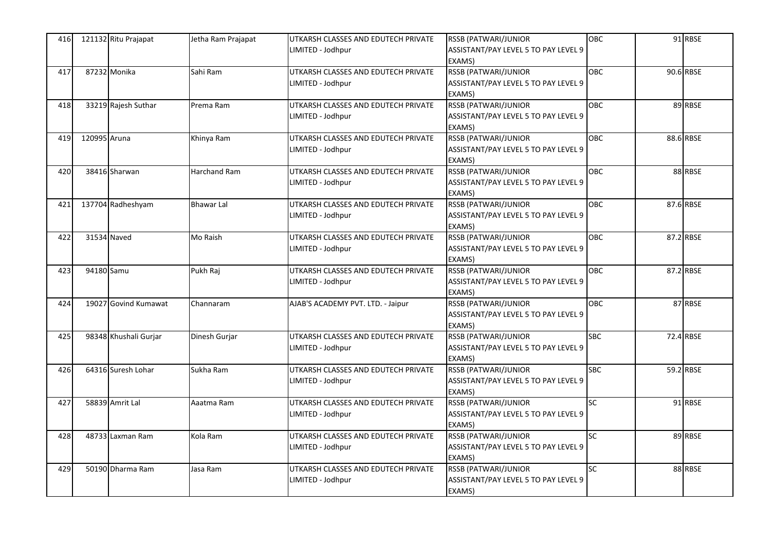| 416 | 121132 Ritu Prajapat  |                      | Jetha Ram Prajapat  | UTKARSH CLASSES AND EDUTECH PRIVATE | RSSB (PATWARI/JUNIOR                 | <b>OBC</b>      | 91 RBSE   |
|-----|-----------------------|----------------------|---------------------|-------------------------------------|--------------------------------------|-----------------|-----------|
|     |                       |                      |                     | LIMITED - Jodhpur                   | ASSISTANT/PAY LEVEL 5 TO PAY LEVEL 9 |                 |           |
|     |                       |                      |                     |                                     | EXAMS)                               |                 |           |
| 417 | 87232 Monika          |                      | Sahi Ram            | UTKARSH CLASSES AND EDUTECH PRIVATE | RSSB (PATWARI/JUNIOR                 | <b>OBC</b>      | 90.6 RBSE |
|     |                       |                      |                     | LIMITED - Jodhpur                   | ASSISTANT/PAY LEVEL 5 TO PAY LEVEL 9 |                 |           |
|     |                       |                      |                     |                                     | EXAMS)                               |                 |           |
| 418 | 33219 Rajesh Suthar   |                      | Prema Ram           | UTKARSH CLASSES AND EDUTECH PRIVATE | <b>RSSB (PATWARI/JUNIOR</b>          | <b>OBC</b>      | 89 RBSE   |
|     |                       |                      |                     | LIMITED - Jodhpur                   | ASSISTANT/PAY LEVEL 5 TO PAY LEVEL 9 |                 |           |
|     |                       |                      |                     |                                     | EXAMS)                               |                 |           |
| 419 | 120995 Aruna          |                      | Khinya Ram          | UTKARSH CLASSES AND EDUTECH PRIVATE | <b>RSSB (PATWARI/JUNIOR</b>          | OBC             | 88.6 RBSE |
|     |                       |                      |                     | LIMITED - Jodhpur                   | ASSISTANT/PAY LEVEL 5 TO PAY LEVEL 9 |                 |           |
|     |                       |                      |                     |                                     | EXAMS)                               |                 |           |
| 420 | 38416 Sharwan         |                      | <b>Harchand Ram</b> | UTKARSH CLASSES AND EDUTECH PRIVATE | RSSB (PATWARI/JUNIOR                 | <b>OBC</b>      | 88 RBSE   |
|     |                       |                      |                     | LIMITED - Jodhpur                   | ASSISTANT/PAY LEVEL 5 TO PAY LEVEL 9 |                 |           |
|     |                       |                      |                     |                                     | EXAMS)                               |                 |           |
| 421 | 137704 Radheshyam     |                      | <b>Bhawar Lal</b>   | UTKARSH CLASSES AND EDUTECH PRIVATE | RSSB (PATWARI/JUNIOR                 | <b>OBC</b>      | 87.6 RBSE |
|     |                       |                      |                     | LIMITED - Jodhpur                   | ASSISTANT/PAY LEVEL 5 TO PAY LEVEL 9 |                 |           |
|     |                       |                      |                     |                                     | EXAMS)                               |                 |           |
| 422 | 31534 Naved           |                      | Mo Raish            | UTKARSH CLASSES AND EDUTECH PRIVATE | <b>RSSB (PATWARI/JUNIOR</b>          | OBC             | 87.2 RBSE |
|     |                       |                      |                     | LIMITED - Jodhpur                   | ASSISTANT/PAY LEVEL 5 TO PAY LEVEL 9 |                 |           |
|     |                       |                      |                     |                                     | EXAMS)                               |                 |           |
| 423 | 94180 Samu            |                      | Pukh Raj            | UTKARSH CLASSES AND EDUTECH PRIVATE | RSSB (PATWARI/JUNIOR                 | <b>OBC</b>      | 87.2 RBSE |
|     |                       |                      |                     | LIMITED - Jodhpur                   | ASSISTANT/PAY LEVEL 5 TO PAY LEVEL 9 |                 |           |
|     |                       |                      |                     |                                     | EXAMS)                               |                 |           |
| 424 |                       | 19027 Govind Kumawat | Channaram           | AJAB'S ACADEMY PVT. LTD. - Jaipur   | <b>RSSB (PATWARI/JUNIOR</b>          | OBC             | 87 RBSE   |
|     |                       |                      |                     |                                     | ASSISTANT/PAY LEVEL 5 TO PAY LEVEL 9 |                 |           |
|     |                       |                      |                     |                                     | EXAMS)                               |                 |           |
| 425 | 98348 Khushali Gurjar |                      | Dinesh Gurjar       | UTKARSH CLASSES AND EDUTECH PRIVATE | <b>RSSB (PATWARI/JUNIOR</b>          | <b>SBC</b>      | 72.4 RBSE |
|     |                       |                      |                     | LIMITED - Jodhpur                   | ASSISTANT/PAY LEVEL 5 TO PAY LEVEL 9 |                 |           |
|     |                       |                      |                     |                                     | EXAMS)                               |                 |           |
| 426 | 64316 Suresh Lohar    |                      | Sukha Ram           | UTKARSH CLASSES AND EDUTECH PRIVATE | RSSB (PATWARI/JUNIOR                 | <b>SBC</b>      | 59.2 RBSE |
|     |                       |                      |                     | LIMITED - Jodhpur                   | ASSISTANT/PAY LEVEL 5 TO PAY LEVEL 9 |                 |           |
|     |                       |                      |                     |                                     | EXAMS)                               |                 |           |
| 427 | 58839 Amrit Lal       |                      | Aaatma Ram          | UTKARSH CLASSES AND EDUTECH PRIVATE | RSSB (PATWARI/JUNIOR                 | <b>SC</b>       | 91 RBSE   |
|     |                       |                      |                     | LIMITED - Jodhpur                   | ASSISTANT/PAY LEVEL 5 TO PAY LEVEL 9 |                 |           |
|     |                       |                      |                     |                                     | EXAMS)                               |                 |           |
| 428 | 48733 Laxman Ram      |                      | Kola Ram            | UTKARSH CLASSES AND EDUTECH PRIVATE | RSSB (PATWARI/JUNIOR                 | SC              | 89 RBSE   |
|     |                       |                      |                     | LIMITED - Jodhpur                   | ASSISTANT/PAY LEVEL 5 TO PAY LEVEL 9 |                 |           |
|     |                       |                      |                     |                                     | EXAMS)                               |                 |           |
| 429 | 50190 Dharma Ram      |                      | Jasa Ram            | UTKARSH CLASSES AND EDUTECH PRIVATE | RSSB (PATWARI/JUNIOR                 | $\overline{SC}$ | 88 RBSE   |
|     |                       |                      |                     | LIMITED - Jodhpur                   | ASSISTANT/PAY LEVEL 5 TO PAY LEVEL 9 |                 |           |
|     |                       |                      |                     |                                     | EXAMS)                               |                 |           |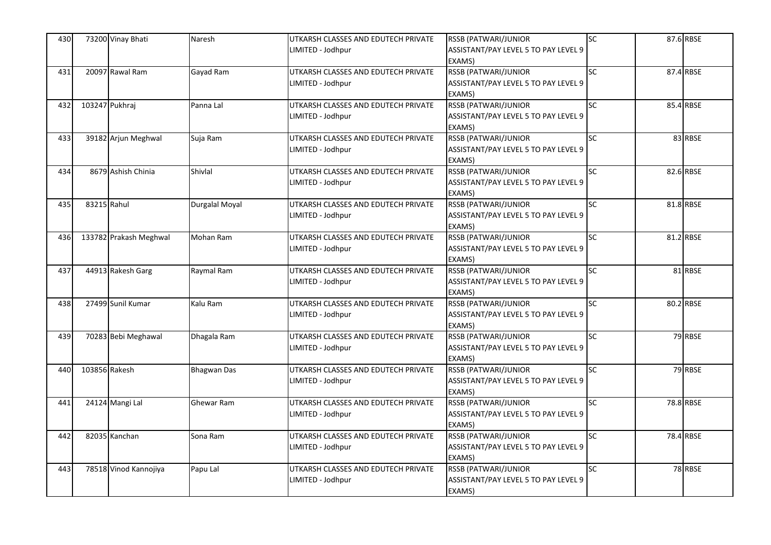| 430 | 73200 Vinay Bhati      | Naresh             | UTKARSH CLASSES AND EDUTECH PRIVATE | RSSB (PATWARI/JUNIOR                 | SC              | 87.6 RBSE |
|-----|------------------------|--------------------|-------------------------------------|--------------------------------------|-----------------|-----------|
|     |                        |                    | LIMITED - Jodhpur                   | ASSISTANT/PAY LEVEL 5 TO PAY LEVEL 9 |                 |           |
|     |                        |                    |                                     | EXAMS)                               |                 |           |
| 431 | 20097 Rawal Ram        | Gayad Ram          | UTKARSH CLASSES AND EDUTECH PRIVATE | RSSB (PATWARI/JUNIOR                 | $\overline{SC}$ | 87.4 RBSE |
|     |                        |                    | LIMITED - Jodhpur                   | ASSISTANT/PAY LEVEL 5 TO PAY LEVEL 9 |                 |           |
|     |                        |                    |                                     | EXAMS)                               |                 |           |
| 432 | 103247 Pukhraj         | Panna Lal          | UTKARSH CLASSES AND EDUTECH PRIVATE | <b>RSSB (PATWARI/JUNIOR</b>          | SC              | 85.4 RBSE |
|     |                        |                    | LIMITED - Jodhpur                   | ASSISTANT/PAY LEVEL 5 TO PAY LEVEL 9 |                 |           |
|     |                        |                    |                                     | EXAMS)                               |                 |           |
| 433 | 39182 Arjun Meghwal    | Suja Ram           | UTKARSH CLASSES AND EDUTECH PRIVATE | <b>RSSB (PATWARI/JUNIOR</b>          | SC              | 83 RBSE   |
|     |                        |                    | LIMITED - Jodhpur                   | ASSISTANT/PAY LEVEL 5 TO PAY LEVEL 9 |                 |           |
|     |                        |                    |                                     | EXAMS)                               |                 |           |
| 434 | 8679 Ashish Chinia     | Shivlal            | UTKARSH CLASSES AND EDUTECH PRIVATE | RSSB (PATWARI/JUNIOR                 | $\overline{SC}$ | 82.6 RBSE |
|     |                        |                    | LIMITED - Jodhpur                   | ASSISTANT/PAY LEVEL 5 TO PAY LEVEL 9 |                 |           |
|     |                        |                    |                                     | EXAMS)                               |                 |           |
| 435 | 83215 Rahul            | Durgalal Moyal     | UTKARSH CLASSES AND EDUTECH PRIVATE | <b>RSSB (PATWARI/JUNIOR</b>          | SC              | 81.8 RBSE |
|     |                        |                    | LIMITED - Jodhpur                   | ASSISTANT/PAY LEVEL 5 TO PAY LEVEL 9 |                 |           |
|     |                        |                    |                                     | EXAMS)                               |                 |           |
| 436 | 133782 Prakash Meghwal | Mohan Ram          | UTKARSH CLASSES AND EDUTECH PRIVATE | <b>RSSB (PATWARI/JUNIOR</b>          | SC              | 81.2 RBSE |
|     |                        |                    | LIMITED - Jodhpur                   | ASSISTANT/PAY LEVEL 5 TO PAY LEVEL 9 |                 |           |
|     |                        |                    |                                     | EXAMS)                               |                 |           |
| 437 | 44913 Rakesh Garg      | Raymal Ram         | UTKARSH CLASSES AND EDUTECH PRIVATE | RSSB (PATWARI/JUNIOR                 | $\overline{SC}$ | 81 RBSE   |
|     |                        |                    | LIMITED - Jodhpur                   | ASSISTANT/PAY LEVEL 5 TO PAY LEVEL 9 |                 |           |
|     |                        |                    |                                     | EXAMS)                               |                 |           |
| 438 | 27499 Sunil Kumar      | Kalu Ram           | UTKARSH CLASSES AND EDUTECH PRIVATE | <b>RSSB (PATWARI/JUNIOR</b>          | $\overline{SC}$ | 80.2 RBSE |
|     |                        |                    | LIMITED - Jodhpur                   | ASSISTANT/PAY LEVEL 5 TO PAY LEVEL 9 |                 |           |
|     |                        |                    |                                     | EXAMS)                               |                 |           |
| 439 | 70283 Bebi Meghawal    | Dhagala Ram        | UTKARSH CLASSES AND EDUTECH PRIVATE | <b>RSSB (PATWARI/JUNIOR</b>          | SC              | 79 RBSE   |
|     |                        |                    | LIMITED - Jodhpur                   | ASSISTANT/PAY LEVEL 5 TO PAY LEVEL 9 |                 |           |
|     |                        |                    |                                     | EXAMS)                               |                 |           |
| 440 | 103856 Rakesh          | <b>Bhagwan Das</b> | UTKARSH CLASSES AND EDUTECH PRIVATE | RSSB (PATWARI/JUNIOR                 | $\overline{SC}$ | 79 RBSE   |
|     |                        |                    | LIMITED - Jodhpur                   | ASSISTANT/PAY LEVEL 5 TO PAY LEVEL 9 |                 |           |
|     |                        |                    |                                     | EXAMS)                               |                 |           |
| 441 | 24124 Mangi Lal        | Ghewar Ram         | UTKARSH CLASSES AND EDUTECH PRIVATE | RSSB (PATWARI/JUNIOR                 | <b>SC</b>       | 78.8 RBSE |
|     |                        |                    | LIMITED - Jodhpur                   | ASSISTANT/PAY LEVEL 5 TO PAY LEVEL 9 |                 |           |
|     |                        |                    |                                     | EXAMS)                               |                 |           |
| 442 | 82035 Kanchan          | Sona Ram           | UTKARSH CLASSES AND EDUTECH PRIVATE | RSSB (PATWARI/JUNIOR                 | SC              | 78.4 RBSE |
|     |                        |                    | LIMITED - Jodhpur                   | ASSISTANT/PAY LEVEL 5 TO PAY LEVEL 9 |                 |           |
|     |                        |                    |                                     | EXAMS)                               |                 |           |
| 443 | 78518 Vinod Kannojiya  | Papu Lal           | UTKARSH CLASSES AND EDUTECH PRIVATE | RSSB (PATWARI/JUNIOR                 | $\overline{SC}$ | 78 RBSE   |
|     |                        |                    | LIMITED - Jodhpur                   | ASSISTANT/PAY LEVEL 5 TO PAY LEVEL 9 |                 |           |
|     |                        |                    |                                     | EXAMS)                               |                 |           |